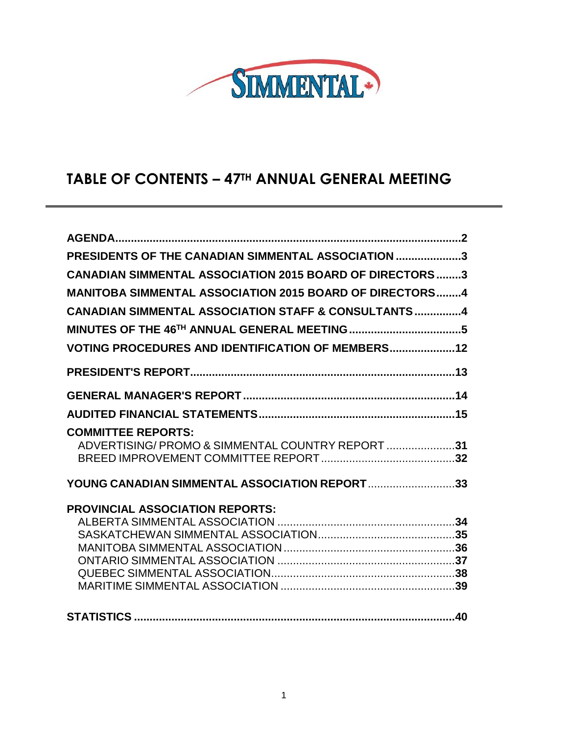

## **TABLE OF CONTENTS – 47TH ANNUAL GENERAL MEETING**

| PRESIDENTS OF THE CANADIAN SIMMENTAL ASSOCIATION 3                           |  |
|------------------------------------------------------------------------------|--|
| <b>CANADIAN SIMMENTAL ASSOCIATION 2015 BOARD OF DIRECTORS 3</b>              |  |
| <b>MANITOBA SIMMENTAL ASSOCIATION 2015 BOARD OF DIRECTORS4</b>               |  |
| <b>CANADIAN SIMMENTAL ASSOCIATION STAFF &amp; CONSULTANTS4</b>               |  |
|                                                                              |  |
| VOTING PROCEDURES AND IDENTIFICATION OF MEMBERS 12                           |  |
|                                                                              |  |
|                                                                              |  |
|                                                                              |  |
| <b>COMMITTEE REPORTS:</b><br>ADVERTISING/PROMO & SIMMENTAL COUNTRY REPORT 31 |  |
| YOUNG CANADIAN SIMMENTAL ASSOCIATION REPORT33                                |  |
| <b>PROVINCIAL ASSOCIATION REPORTS:</b>                                       |  |
|                                                                              |  |
|                                                                              |  |
|                                                                              |  |
|                                                                              |  |
|                                                                              |  |
|                                                                              |  |
|                                                                              |  |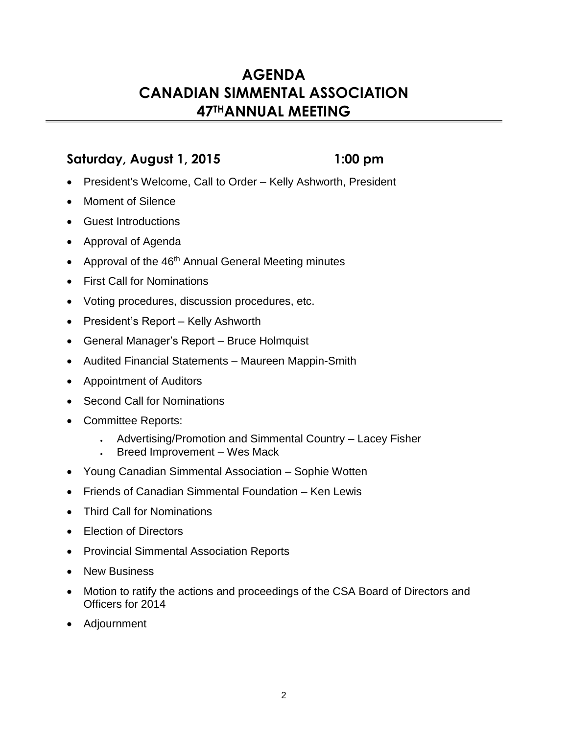## **AGENDA CANADIAN SIMMENTAL ASSOCIATION 47THANNUAL MEETING**

## **Saturday, August 1, 2015 1:00 pm**

- President's Welcome, Call to Order Kelly Ashworth, President
- Moment of Silence
- Guest Introductions
- Approval of Agenda
- Approval of the 46<sup>th</sup> Annual General Meeting minutes
- First Call for Nominations
- Voting procedures, discussion procedures, etc.
- President's Report Kelly Ashworth
- General Manager's Report Bruce Holmquist
- Audited Financial Statements Maureen Mappin-Smith
- Appointment of Auditors
- Second Call for Nominations
- Committee Reports:
	- Advertising/Promotion and Simmental Country Lacey Fisher
	- Breed Improvement Wes Mack
- Young Canadian Simmental Association Sophie Wotten
- Friends of Canadian Simmental Foundation Ken Lewis
- Third Call for Nominations
- Election of Directors
- Provincial Simmental Association Reports
- New Business
- Motion to ratify the actions and proceedings of the CSA Board of Directors and Officers for 2014
- Adjournment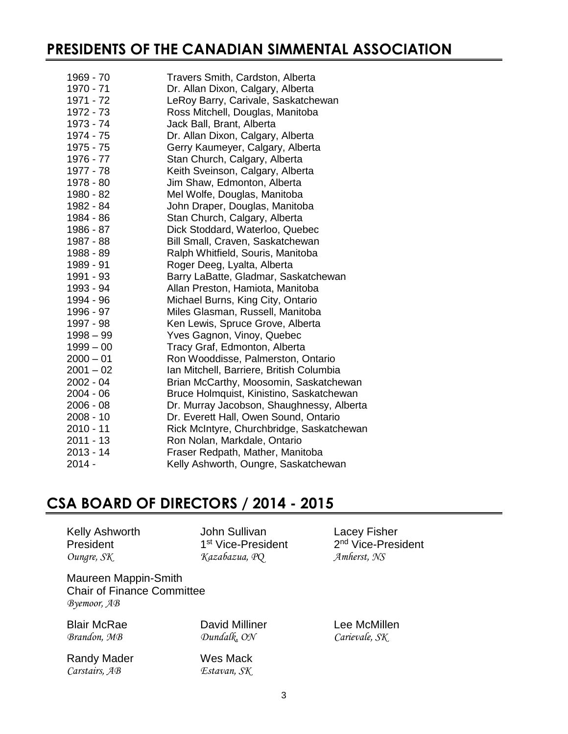## **PRESIDENTS OF THE CANADIAN SIMMENTAL ASSOCIATION**

| 1969 - 70   | Travers Smith, Cardston, Alberta          |
|-------------|-------------------------------------------|
| 1970 - 71   | Dr. Allan Dixon, Calgary, Alberta         |
| 1971 - 72   | LeRoy Barry, Carivale, Saskatchewan       |
| 1972 - 73   | Ross Mitchell, Douglas, Manitoba          |
| 1973 - 74   | Jack Ball, Brant, Alberta                 |
| 1974 - 75   | Dr. Allan Dixon, Calgary, Alberta         |
| 1975 - 75   | Gerry Kaumeyer, Calgary, Alberta          |
| 1976 - 77   | Stan Church, Calgary, Alberta             |
| 1977 - 78   | Keith Sveinson, Calgary, Alberta          |
| 1978 - 80   | Jim Shaw, Edmonton, Alberta               |
| 1980 - 82   | Mel Wolfe, Douglas, Manitoba              |
| 1982 - 84   | John Draper, Douglas, Manitoba            |
| 1984 - 86   | Stan Church, Calgary, Alberta             |
| 1986 - 87   | Dick Stoddard, Waterloo, Quebec           |
| 1987 - 88   | Bill Small, Craven, Saskatchewan          |
| 1988 - 89   | Ralph Whitfield, Souris, Manitoba         |
| 1989 - 91   | Roger Deeg, Lyalta, Alberta               |
| 1991 - 93   | Barry LaBatte, Gladmar, Saskatchewan      |
| 1993 - 94   | Allan Preston, Hamiota, Manitoba          |
| 1994 - 96   | Michael Burns, King City, Ontario         |
| 1996 - 97   | Miles Glasman, Russell, Manitoba          |
| 1997 - 98   | Ken Lewis, Spruce Grove, Alberta          |
| $1998 - 99$ | Yves Gagnon, Vinoy, Quebec                |
| $1999 - 00$ | Tracy Graf, Edmonton, Alberta             |
| $2000 - 01$ | Ron Wooddisse, Palmerston, Ontario        |
| $2001 - 02$ | Ian Mitchell, Barriere, British Columbia  |
| $2002 - 04$ | Brian McCarthy, Moosomin, Saskatchewan    |
| 2004 - 06   | Bruce Holmquist, Kinistino, Saskatchewan  |
| $2006 - 08$ | Dr. Murray Jacobson, Shaughnessy, Alberta |
| $2008 - 10$ | Dr. Everett Hall, Owen Sound, Ontario     |
| 2010 - 11   | Rick McIntyre, Churchbridge, Saskatchewan |
| 2011 - 13   | Ron Nolan, Markdale, Ontario              |
| $2013 - 14$ | Fraser Redpath, Mather, Manitoba          |
| $2014 -$    | Kelly Ashworth, Oungre, Saskatchewan      |

## **CSA BOARD OF DIRECTORS / 2014 - 2015**

Kelly Ashworth **John Sullivan** Lacey Fisher **President** 

1<sup>st</sup> Vice-President *Oungre, SK Kazabazua, PQ Amherst, NS*

2<sup>nd</sup> Vice-President

Maureen Mappin-Smith Chair of Finance Committee *Byemoor, AB*

*Brandon, MB Dundalk, ON Carievale, SK*

Blair McRae David Milliner Lee McMillen

Randy Mader Wes Mack *Carstairs, AB Estavan, SK*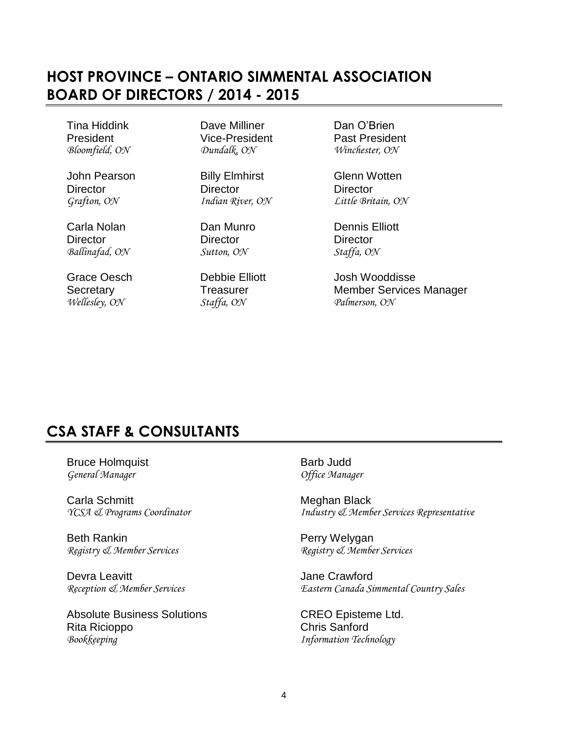## **HOST PROVINCE – ONTARIO SIMMENTAL ASSOCIATION BOARD OF DIRECTORS / 2014 - 2015**

Director Director Director *Ballinafad, ON Sutton, ON Staffa, ON*

*Wellesley, ON Staffa, ON Palmerson, ON*

Tina Hiddink Dave Milliner Dan O'Brien *Bloomfield, ON Dundalk, ON Winchester, ON*

Director Director Director

President Vice-President Past President

John Pearson **Billy Elmhirst** Glenn Wotten *Grafton, ON Indian River, ON Little Britain, ON*

Carla Nolan Dan Munro Dennis Elliott

Grace Oesch Debbie Elliott Josh Wooddisse Secretary Treasurer Member Services Manager

## **CSA STAFF & CONSULTANTS**

Bruce Holmquist<br>
General Manager<br>
General Manager<br>
General Manager *General Manager Office Manager*

Carla Schmitt **Meghan Black** Meghan Black

Beth Rankin **Perry Welygan** *Registry & Member Services Registry & Member Services*

Devra Leavitt **Devra Leavitt Jane Crawford** 

Absolute Business Solutions **CREO** Episteme Ltd. Rita Ricioppo Chris Sanford *Bookkeeping Information Technology*

*YCSA & Programs Coordinator Industry & Member Services Representative* 

*Reception & Member Services Eastern Canada Simmental Country Sales*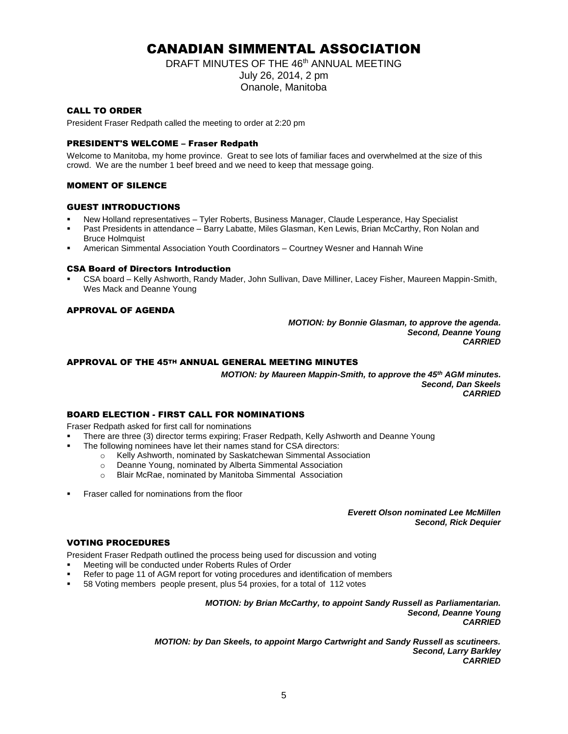## CANADIAN SIMMENTAL ASSOCIATION

DRAFT MINUTES OF THE 46<sup>th</sup> ANNUAL MEETING July 26, 2014, 2 pm Onanole, Manitoba

#### CALL TO ORDER

President Fraser Redpath called the meeting to order at 2:20 pm

#### PRESIDENT'S WELCOME – Fraser Redpath

Welcome to Manitoba, my home province. Great to see lots of familiar faces and overwhelmed at the size of this crowd. We are the number 1 beef breed and we need to keep that message going.

#### MOMENT OF SILENCE

#### GUEST INTRODUCTIONS

- New Holland representatives Tyler Roberts, Business Manager, Claude Lesperance, Hay Specialist
- Past Presidents in attendance Barry Labatte, Miles Glasman, Ken Lewis, Brian McCarthy, Ron Nolan and Bruce Holmquist
- American Simmental Association Youth Coordinators Courtney Wesner and Hannah Wine

#### CSA Board of Directors Introduction

 CSA board – Kelly Ashworth, Randy Mader, John Sullivan, Dave Milliner, Lacey Fisher, Maureen Mappin-Smith, Wes Mack and Deanne Young

#### APPROVAL OF AGENDA

*MOTION: by Bonnie Glasman, to approve the agenda. Second, Deanne Young CARRIED*

#### APPROVAL OF THE 45TH ANNUAL GENERAL MEETING MINUTES

*MOTION: by Maureen Mappin-Smith, to approve the 45th AGM minutes. Second, Dan Skeels CARRIED*

#### BOARD ELECTION - FIRST CALL FOR NOMINATIONS

Fraser Redpath asked for first call for nominations

- There are three (3) director terms expiring; Fraser Redpath, Kelly Ashworth and Deanne Young
	- The following nominees have let their names stand for CSA directors:
		- o Kelly Ashworth, nominated by Saskatchewan Simmental Association
		- o Deanne Young, nominated by Alberta Simmental Association
		- o Blair McRae, nominated by Manitoba Simmental Association
- Fraser called for nominations from the floor

#### *Everett Olson nominated Lee McMillen Second, Rick Dequier*

#### VOTING PROCEDURES

President Fraser Redpath outlined the process being used for discussion and voting

- Meeting will be conducted under Roberts Rules of Order
- Refer to page 11 of AGM report for voting procedures and identification of members
- 58 Voting members people present, plus 54 proxies, for a total of 112 votes

*MOTION: by Brian McCarthy, to appoint Sandy Russell as Parliamentarian. Second, Deanne Young CARRIED*

*MOTION: by Dan Skeels, to appoint Margo Cartwright and Sandy Russell as scutineers. Second, Larry Barkley CARRIED*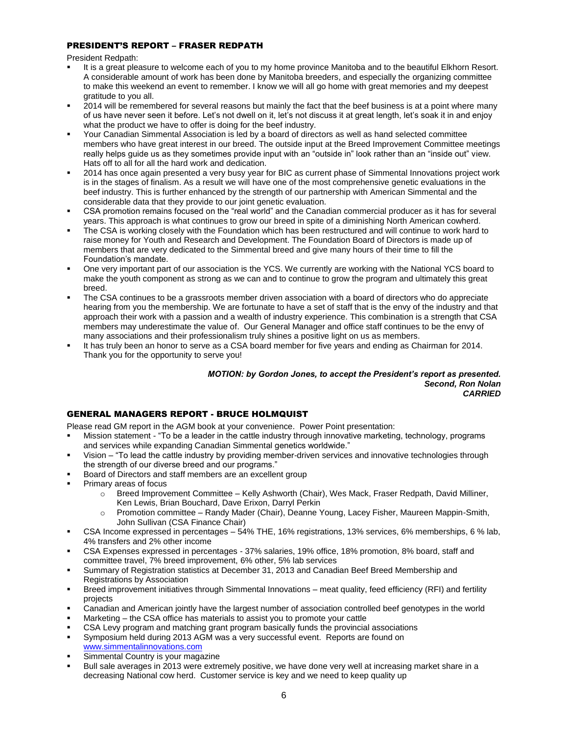### PRESIDENT'S REPORT – FRASER REDPATH

President Redpath:

- It is a great pleasure to welcome each of you to my home province Manitoba and to the beautiful Elkhorn Resort. A considerable amount of work has been done by Manitoba breeders, and especially the organizing committee to make this weekend an event to remember. I know we will all go home with great memories and my deepest gratitude to you all.
- 2014 will be remembered for several reasons but mainly the fact that the beef business is at a point where many of us have never seen it before. Let's not dwell on it, let's not discuss it at great length, let's soak it in and enjoy what the product we have to offer is doing for the beef industry.
- Your Canadian Simmental Association is led by a board of directors as well as hand selected committee members who have great interest in our breed. The outside input at the Breed Improvement Committee meetings really helps guide us as they sometimes provide input with an "outside in" look rather than an "inside out" view. Hats off to all for all the hard work and dedication.
- 2014 has once again presented a very busy year for BIC as current phase of Simmental Innovations project work is in the stages of finalism. As a result we will have one of the most comprehensive genetic evaluations in the beef industry. This is further enhanced by the strength of our partnership with American Simmental and the considerable data that they provide to our joint genetic evaluation.
- CSA promotion remains focused on the "real world" and the Canadian commercial producer as it has for several years. This approach is what continues to grow our breed in spite of a diminishing North American cowherd.
- The CSA is working closely with the Foundation which has been restructured and will continue to work hard to raise money for Youth and Research and Development. The Foundation Board of Directors is made up of members that are very dedicated to the Simmental breed and give many hours of their time to fill the Foundation's mandate.
- One very important part of our association is the YCS. We currently are working with the National YCS board to make the youth component as strong as we can and to continue to grow the program and ultimately this great breed.
- The CSA continues to be a grassroots member driven association with a board of directors who do appreciate hearing from you the membership. We are fortunate to have a set of staff that is the envy of the industry and that approach their work with a passion and a wealth of industry experience. This combination is a strength that CSA members may underestimate the value of. Our General Manager and office staff continues to be the envy of many associations and their professionalism truly shines a positive light on us as members.
- It has truly been an honor to serve as a CSA board member for five years and ending as Chairman for 2014. Thank you for the opportunity to serve you!

#### *MOTION: by Gordon Jones, to accept the President's report as presented. Second, Ron Nolan CARRIED*

### GENERAL MANAGERS REPORT - BRUCE HOLMQUIST

Please read GM report in the AGM book at your convenience. Power Point presentation:

- Mission statement "To be a leader in the cattle industry through innovative marketing, technology, programs and services while expanding Canadian Simmental genetics worldwide."
- Vision "To lead the cattle industry by providing member-driven services and innovative technologies through the strength of our diverse breed and our programs."
- Board of Directors and staff members are an excellent group
- Primary areas of focus
	- o Breed Improvement Committee Kelly Ashworth (Chair), Wes Mack, Fraser Redpath, David Milliner, Ken Lewis, Brian Bouchard, Dave Erixon, Darryl Perkin
	- o Promotion committee Randy Mader (Chair), Deanne Young, Lacey Fisher, Maureen Mappin-Smith, John Sullivan (CSA Finance Chair)
- CSA Income expressed in percentages 54% THE, 16% registrations, 13% services, 6% memberships, 6 % lab, 4% transfers and 2% other income
- CSA Expenses expressed in percentages 37% salaries, 19% office, 18% promotion, 8% board, staff and committee travel, 7% breed improvement, 6% other, 5% lab services
- Summary of Registration statistics at December 31, 2013 and Canadian Beef Breed Membership and Registrations by Association
- Breed improvement initiatives through Simmental Innovations meat quality, feed efficiency (RFI) and fertility projects
- Canadian and American jointly have the largest number of association controlled beef genotypes in the world
- Marketing the CSA office has materials to assist you to promote your cattle
- CSA Levy program and matching grant program basically funds the provincial associations
- Symposium held during 2013 AGM was a very successful event. Reports are found on [www.simmentalinnovations.com](http://www.simmentalinnovations.com/)
- Simmental Country is your magazine
- Bull sale averages in 2013 were extremely positive, we have done very well at increasing market share in a decreasing National cow herd. Customer service is key and we need to keep quality up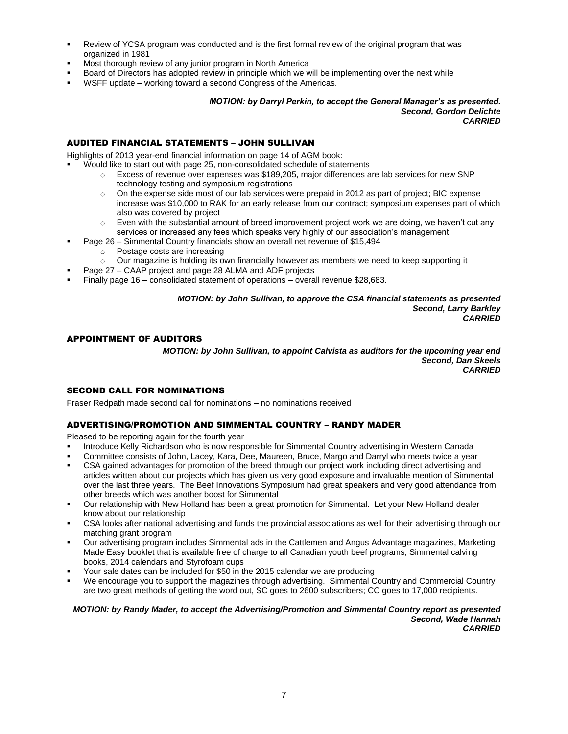- Review of YCSA program was conducted and is the first formal review of the original program that was organized in 1981
- Most thorough review of any junior program in North America
- Board of Directors has adopted review in principle which we will be implementing over the next while
- WSFF update working toward a second Congress of the Americas.

#### *MOTION: by Darryl Perkin, to accept the General Manager's as presented. Second, Gordon Delichte CARRIED*

### AUDITED FINANCIAL STATEMENTS – JOHN SULLIVAN

Highlights of 2013 year-end financial information on page 14 of AGM book:

- Would like to start out with page 25, non-consolidated schedule of statements
	- $\circ$  Excess of revenue over expenses was \$189,205, major differences are lab services for new SNP technology testing and symposium registrations
	- $\circ$  On the expense side most of our lab services were prepaid in 2012 as part of project; BIC expense increase was \$10,000 to RAK for an early release from our contract; symposium expenses part of which also was covered by project
	- $\circ$  Even with the substantial amount of breed improvement project work we are doing, we haven't cut any services or increased any fees which speaks very highly of our association's management
- Page 26 Simmental Country financials show an overall net revenue of \$15,494
	- o Postage costs are increasing
- $\circ$  Our magazine is holding its own financially however as members we need to keep supporting it
- Page 27 CAAP project and page 28 ALMA and ADF projects
- Finally page 16 consolidated statement of operations overall revenue \$28,683.

#### *MOTION: by John Sullivan, to approve the CSA financial statements as presented Second, Larry Barkley CARRIED*

#### APPOINTMENT OF AUDITORS

*MOTION: by John Sullivan, to appoint Calvista as auditors for the upcoming year end Second, Dan Skeels CARRIED*

#### SECOND CALL FOR NOMINATIONS

Fraser Redpath made second call for nominations – no nominations received

#### ADVERTISING/PROMOTION AND SIMMENTAL COUNTRY – RANDY MADER

Pleased to be reporting again for the fourth year

- Introduce Kelly Richardson who is now responsible for Simmental Country advertising in Western Canada
- Committee consists of John, Lacey, Kara, Dee, Maureen, Bruce, Margo and Darryl who meets twice a year
- CSA gained advantages for promotion of the breed through our project work including direct advertising and articles written about our projects which has given us very good exposure and invaluable mention of Simmental over the last three years. The Beef Innovations Symposium had great speakers and very good attendance from other breeds which was another boost for Simmental
- Our relationship with New Holland has been a great promotion for Simmental. Let your New Holland dealer know about our relationship
- CSA looks after national advertising and funds the provincial associations as well for their advertising through our matching grant program
- Our advertising program includes Simmental ads in the Cattlemen and Angus Advantage magazines, Marketing Made Easy booklet that is available free of charge to all Canadian youth beef programs, Simmental calving books, 2014 calendars and Styrofoam cups
- Your sale dates can be included for \$50 in the 2015 calendar we are producing
- We encourage you to support the magazines through advertising. Simmental Country and Commercial Country are two great methods of getting the word out, SC goes to 2600 subscribers; CC goes to 17,000 recipients.

#### *MOTION: by Randy Mader, to accept the Advertising/Promotion and Simmental Country report as presented Second, Wade Hannah CARRIED*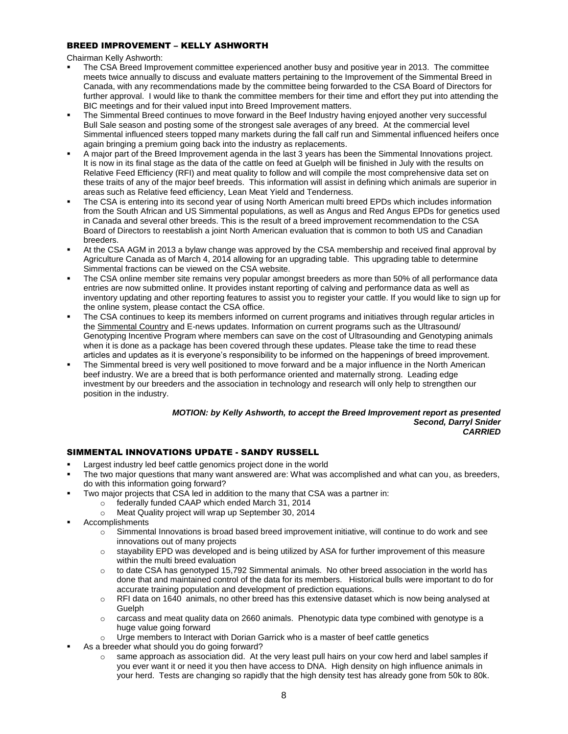## BREED IMPROVEMENT – KELLY ASHWORTH

Chairman Kelly Ashworth:

- The CSA Breed Improvement committee experienced another busy and positive year in 2013. The committee meets twice annually to discuss and evaluate matters pertaining to the Improvement of the Simmental Breed in Canada, with any recommendations made by the committee being forwarded to the CSA Board of Directors for further approval. I would like to thank the committee members for their time and effort they put into attending the BIC meetings and for their valued input into Breed Improvement matters.
- The Simmental Breed continues to move forward in the Beef Industry having enjoyed another very successful Bull Sale season and posting some of the strongest sale averages of any breed. At the commercial level Simmental influenced steers topped many markets during the fall calf run and Simmental influenced heifers once again bringing a premium going back into the industry as replacements.
- A major part of the Breed Improvement agenda in the last 3 years has been the Simmental Innovations project. It is now in its final stage as the data of the cattle on feed at Guelph will be finished in July with the results on Relative Feed Efficiency (RFI) and meat quality to follow and will compile the most comprehensive data set on these traits of any of the major beef breeds. This information will assist in defining which animals are superior in areas such as Relative feed efficiency, Lean Meat Yield and Tenderness.
- The CSA is entering into its second year of using North American multi breed EPDs which includes information from the South African and US Simmental populations, as well as Angus and Red Angus EPDs for genetics used in Canada and several other breeds. This is the result of a breed improvement recommendation to the CSA Board of Directors to reestablish a joint North American evaluation that is common to both US and Canadian breeders.
- At the CSA AGM in 2013 a bylaw change was approved by the CSA membership and received final approval by Agriculture Canada as of March 4, 2014 allowing for an upgrading table. This upgrading table to determine Simmental fractions can be viewed on the CSA website.
- The CSA online member site remains very popular amongst breeders as more than 50% of all performance data entries are now submitted online. It provides instant reporting of calving and performance data as well as inventory updating and other reporting features to assist you to register your cattle. If you would like to sign up for the online system, please contact the CSA office.
- The CSA continues to keep its members informed on current programs and initiatives through regular articles in the Simmental Country and E-news updates. Information on current programs such as the Ultrasound/ Genotyping Incentive Program where members can save on the cost of Ultrasounding and Genotyping animals when it is done as a package has been covered through these updates. Please take the time to read these articles and updates as it is everyone's responsibility to be informed on the happenings of breed improvement.
- The Simmental breed is very well positioned to move forward and be a major influence in the North American beef industry. We are a breed that is both performance oriented and maternally strong. Leading edge investment by our breeders and the association in technology and research will only help to strengthen our position in the industry.

#### *MOTION: by Kelly Ashworth, to accept the Breed Improvement report as presented Second, Darryl Snider CARRIED*

### SIMMENTAL INNOVATIONS UPDATE - SANDY RUSSELL

- Largest industry led beef cattle genomics project done in the world
- The two major questions that many want answered are: What was accomplished and what can you, as breeders, do with this information going forward?
- Two major projects that CSA led in addition to the many that CSA was a partner in:
	- o federally funded CAAP which ended March 31, 2014
	- o Meat Quality project will wrap up September 30, 2014
- Accomplishments
	- $\circ$  Simmental Innovations is broad based breed improvement initiative, will continue to do work and see innovations out of many projects
	- o stayability EPD was developed and is being utilized by ASA for further improvement of this measure within the multi breed evaluation
	- $\circ$  to date CSA has genotyped 15,792 Simmental animals. No other breed association in the world has done that and maintained control of the data for its members. Historical bulls were important to do for accurate training population and development of prediction equations.
	- $\circ$  RFI data on 1640 animals, no other breed has this extensive dataset which is now being analysed at Guelph
	- $\circ$  carcass and meat quality data on 2660 animals. Phenotypic data type combined with genotype is a huge value going forward
	- o Urge members to Interact with Dorian Garrick who is a master of beef cattle genetics
- As a breeder what should you do going forward?
	- o same approach as association did. At the very least pull hairs on your cow herd and label samples if you ever want it or need it you then have access to DNA. High density on high influence animals in your herd. Tests are changing so rapidly that the high density test has already gone from 50k to 80k.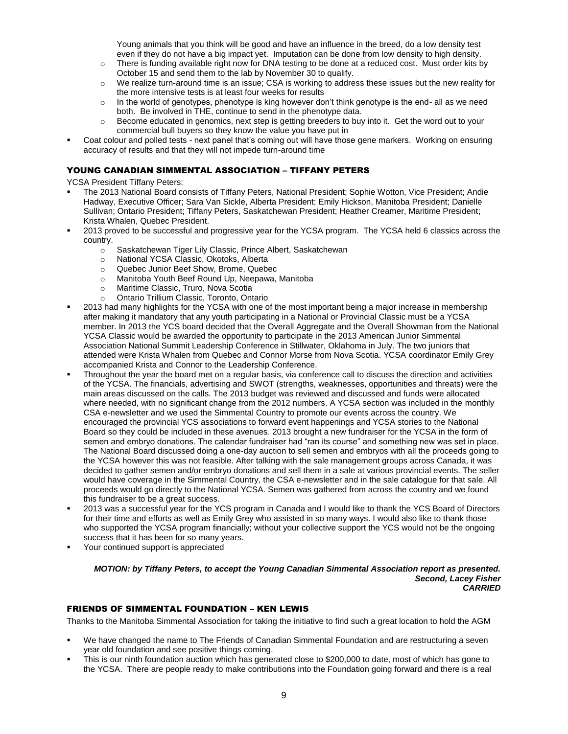Young animals that you think will be good and have an influence in the breed, do a low density test even if they do not have a big impact yet. Imputation can be done from low density to high density.

- $\circ$  There is funding available right now for DNA testing to be done at a reduced cost. Must order kits by October 15 and send them to the lab by November 30 to qualify.
- $\circ$  We realize turn-around time is an issue; CSA is working to address these issues but the new reality for the more intensive tests is at least four weeks for results
- $\circ$  In the world of genotypes, phenotype is king however don't think genotype is the end- all as we need both. Be involved in THE, continue to send in the phenotype data.
- o Become educated in genomics, next step is getting breeders to buy into it. Get the word out to your commercial bull buyers so they know the value you have put in
- Coat colour and polled tests next panel that's coming out will have those gene markers. Working on ensuring accuracy of results and that they will not impede turn-around time

#### YOUNG CANADIAN SIMMENTAL ASSOCIATION – TIFFANY PETERS

YCSA President Tiffany Peters:

- The 2013 National Board consists of Tiffany Peters, National President; Sophie Wotton, Vice President; Andie Hadway, Executive Officer; Sara Van Sickle, Alberta President; Emily Hickson, Manitoba President; Danielle Sullivan; Ontario President; Tiffany Peters, Saskatchewan President; Heather Creamer, Maritime President; Krista Whalen, Quebec President.
- 2013 proved to be successful and progressive year for the YCSA program. The YCSA held 6 classics across the country.
	- o Saskatchewan Tiger Lily Classic, Prince Albert, Saskatchewan
	- o National YCSA Classic, Okotoks, Alberta
	- o Quebec Junior Beef Show, Brome, Quebec
	- o Manitoba Youth Beef Round Up, Neepawa, Manitoba
	- o Maritime Classic, Truro, Nova Scotia
	- o Ontario Trillium Classic, Toronto, Ontario
- 2013 had many highlights for the YCSA with one of the most important being a major increase in membership after making it mandatory that any youth participating in a National or Provincial Classic must be a YCSA member. In 2013 the YCS board decided that the Overall Aggregate and the Overall Showman from the National YCSA Classic would be awarded the opportunity to participate in the 2013 American Junior Simmental Association National Summit Leadership Conference in Stillwater, Oklahoma in July. The two juniors that attended were Krista Whalen from Quebec and Connor Morse from Nova Scotia. YCSA coordinator Emily Grey accompanied Krista and Connor to the Leadership Conference.
- Throughout the year the board met on a regular basis, via conference call to discuss the direction and activities of the YCSA. The financials, advertising and SWOT (strengths, weaknesses, opportunities and threats) were the main areas discussed on the calls. The 2013 budget was reviewed and discussed and funds were allocated where needed, with no significant change from the 2012 numbers. A YCSA section was included in the monthly CSA e-newsletter and we used the Simmental Country to promote our events across the country. We encouraged the provincial YCS associations to forward event happenings and YCSA stories to the National Board so they could be included in these avenues. 2013 brought a new fundraiser for the YCSA in the form of semen and embryo donations. The calendar fundraiser had "ran its course" and something new was set in place. The National Board discussed doing a one-day auction to sell semen and embryos with all the proceeds going to the YCSA however this was not feasible. After talking with the sale management groups across Canada, it was decided to gather semen and/or embryo donations and sell them in a sale at various provincial events. The seller would have coverage in the Simmental Country, the CSA e-newsletter and in the sale catalogue for that sale. All proceeds would go directly to the National YCSA. Semen was gathered from across the country and we found this fundraiser to be a great success.
- 2013 was a successful year for the YCS program in Canada and I would like to thank the YCS Board of Directors for their time and efforts as well as Emily Grey who assisted in so many ways. I would also like to thank those who supported the YCSA program financially; without your collective support the YCS would not be the ongoing success that it has been for so many years.
- Your continued support is appreciated

*MOTION: by Tiffany Peters, to accept the Young Canadian Simmental Association report as presented. Second, Lacey Fisher CARRIED*

### FRIENDS OF SIMMENTAL FOUNDATION – KEN LEWIS

Thanks to the Manitoba Simmental Association for taking the initiative to find such a great location to hold the AGM

- We have changed the name to The Friends of Canadian Simmental Foundation and are restructuring a seven year old foundation and see positive things coming.
- This is our ninth foundation auction which has generated close to \$200,000 to date, most of which has gone to the YCSA. There are people ready to make contributions into the Foundation going forward and there is a real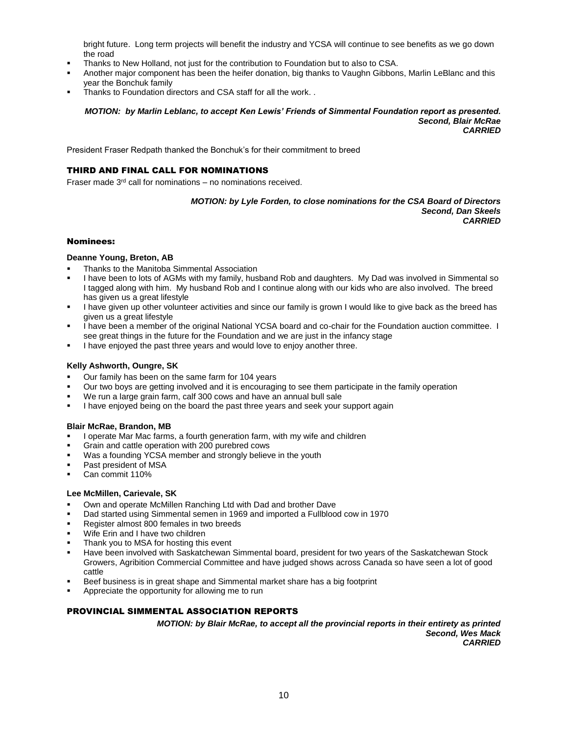bright future. Long term projects will benefit the industry and YCSA will continue to see benefits as we go down the road

- Thanks to New Holland, not just for the contribution to Foundation but to also to CSA.
- Another major component has been the heifer donation, big thanks to Vaughn Gibbons, Marlin LeBlanc and this year the Bonchuk family
- Thanks to Foundation directors and CSA staff for all the work. .

*MOTION: by Marlin Leblanc, to accept Ken Lewis' Friends of Simmental Foundation report as presented. Second, Blair McRae CARRIED* 

President Fraser Redpath thanked the Bonchuk's for their commitment to breed

#### THIRD AND FINAL CALL FOR NOMINATIONS

Fraser made  $3<sup>rd</sup>$  call for nominations – no nominations received.

*MOTION: by Lyle Forden, to close nominations for the CSA Board of Directors Second, Dan Skeels CARRIED*

#### Nominees:

#### **Deanne Young, Breton, AB**

- Thanks to the Manitoba Simmental Association
- I have been to lots of AGMs with my family, husband Rob and daughters. My Dad was involved in Simmental so I tagged along with him. My husband Rob and I continue along with our kids who are also involved. The breed has given us a great lifestyle
- I have given up other volunteer activities and since our family is grown I would like to give back as the breed has given us a great lifestyle
- I have been a member of the original National YCSA board and co-chair for the Foundation auction committee. I see great things in the future for the Foundation and we are just in the infancy stage
- I have enjoyed the past three years and would love to enjoy another three.

#### **Kelly Ashworth, Oungre, SK**

- Our family has been on the same farm for 104 years
- Our two boys are getting involved and it is encouraging to see them participate in the family operation
- We run a large grain farm, calf 300 cows and have an annual bull sale
- I have enjoyed being on the board the past three years and seek your support again

#### **Blair McRae, Brandon, MB**

- I operate Mar Mac farms, a fourth generation farm, with my wife and children
- Grain and cattle operation with 200 purebred cows
- Was a founding YCSA member and strongly believe in the youth
- Past president of MSA
- Can commit 110%

#### **Lee McMillen, Carievale, SK**

- Own and operate McMillen Ranching Ltd with Dad and brother Dave
- Dad started using Simmental semen in 1969 and imported a Fullblood cow in 1970
- Register almost 800 females in two breeds
- Wife Erin and I have two children
- Thank you to MSA for hosting this event
- Have been involved with Saskatchewan Simmental board, president for two years of the Saskatchewan Stock Growers, Agribition Commercial Committee and have judged shows across Canada so have seen a lot of good cattle
- Beef business is in great shape and Simmental market share has a big footprint
- Appreciate the opportunity for allowing me to run

### PROVINCIAL SIMMENTAL ASSOCIATION REPORTS

*MOTION: by Blair McRae, to accept all the provincial reports in their entirety as printed Second, Wes Mack CARRIED*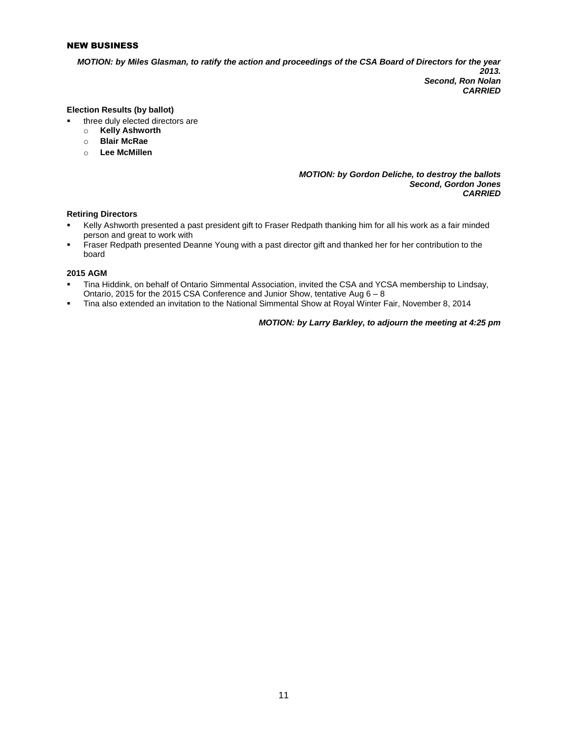## NEW BUSINESS

*MOTION: by Miles Glasman, to ratify the action and proceedings of the CSA Board of Directors for the year 2013. Second, Ron Nolan CARRIED*

#### **Election Results (by ballot)**

- three duly elected directors are
	- o **Kelly Ashworth**
	- o **Blair McRae**
	- o **Lee McMillen**

#### *MOTION: by Gordon Deliche, to destroy the ballots Second, Gordon Jones CARRIED*

#### **Retiring Directors**

- Kelly Ashworth presented a past president gift to Fraser Redpath thanking him for all his work as a fair minded person and great to work with
- Fraser Redpath presented Deanne Young with a past director gift and thanked her for her contribution to the board

#### **2015 AGM**

- Tina Hiddink, on behalf of Ontario Simmental Association, invited the CSA and YCSA membership to Lindsay, Ontario, 2015 for the 2015 CSA Conference and Junior Show, tentative Aug  $6 - 8$
- Tina also extended an invitation to the National Simmental Show at Royal Winter Fair, November 8, 2014

#### *MOTION: by Larry Barkley, to adjourn the meeting at 4:25 pm*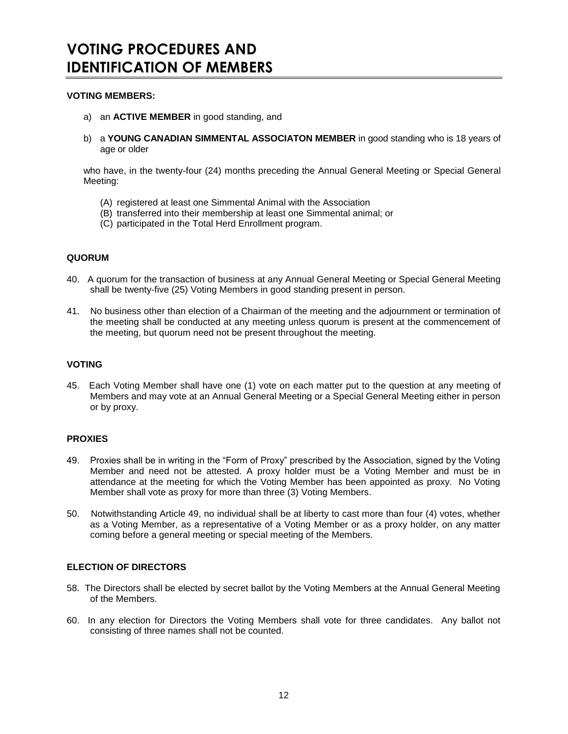## **VOTING MEMBERS:**

- a) an **ACTIVE MEMBER** in good standing, and
- b) a **YOUNG CANADIAN SIMMENTAL ASSOCIATON MEMBER** in good standing who is 18 years of age or older

who have, in the twenty-four (24) months preceding the Annual General Meeting or Special General Meeting:

- (A) registered at least one Simmental Animal with the Association
- (B) transferred into their membership at least one Simmental animal; or
- (C) participated in the Total Herd Enrollment program.

## **QUORUM**

- 40. A quorum for the transaction of business at any Annual General Meeting or Special General Meeting shall be twenty-five (25) Voting Members in good standing present in person.
- 41. No business other than election of a Chairman of the meeting and the adjournment or termination of the meeting shall be conducted at any meeting unless quorum is present at the commencement of the meeting, but quorum need not be present throughout the meeting.

## **VOTING**

45. Each Voting Member shall have one (1) vote on each matter put to the question at any meeting of Members and may vote at an Annual General Meeting or a Special General Meeting either in person or by proxy.

## **PROXIES**

- 49. Proxies shall be in writing in the "Form of Proxy" prescribed by the Association, signed by the Voting Member and need not be attested. A proxy holder must be a Voting Member and must be in attendance at the meeting for which the Voting Member has been appointed as proxy. No Voting Member shall vote as proxy for more than three (3) Voting Members.
- 50. Notwithstanding Article 49, no individual shall be at liberty to cast more than four (4) votes, whether as a Voting Member, as a representative of a Voting Member or as a proxy holder, on any matter coming before a general meeting or special meeting of the Members.

### **ELECTION OF DIRECTORS**

- 58. The Directors shall be elected by secret ballot by the Voting Members at the Annual General Meeting of the Members.
- 60. In any election for Directors the Voting Members shall vote for three candidates. Any ballot not consisting of three names shall not be counted.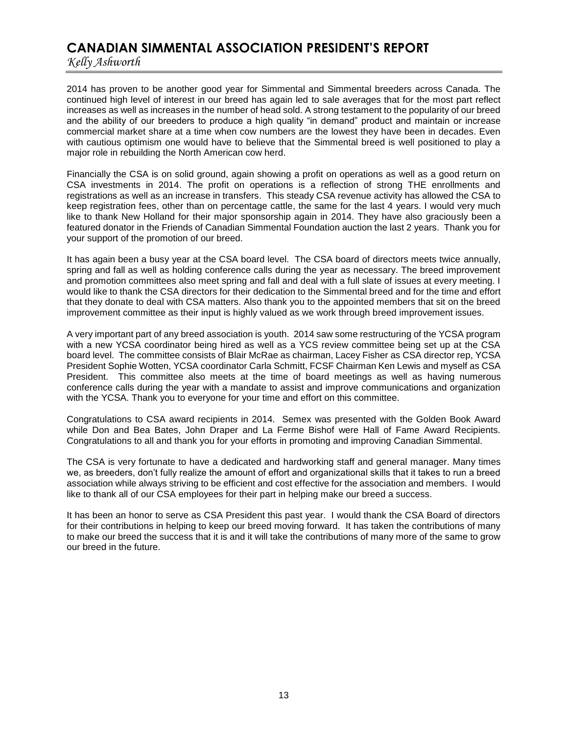## **CANADIAN SIMMENTAL ASSOCIATION PRESIDENT'S REPORT**

*Kelly Ashworth*

2014 has proven to be another good year for Simmental and Simmental breeders across Canada. The continued high level of interest in our breed has again led to sale averages that for the most part reflect increases as well as increases in the number of head sold. A strong testament to the popularity of our breed and the ability of our breeders to produce a high quality "in demand" product and maintain or increase commercial market share at a time when cow numbers are the lowest they have been in decades. Even with cautious optimism one would have to believe that the Simmental breed is well positioned to play a major role in rebuilding the North American cow herd.

Financially the CSA is on solid ground, again showing a profit on operations as well as a good return on CSA investments in 2014. The profit on operations is a reflection of strong THE enrollments and registrations as well as an increase in transfers. This steady CSA revenue activity has allowed the CSA to keep registration fees, other than on percentage cattle, the same for the last 4 years. I would very much like to thank New Holland for their major sponsorship again in 2014. They have also graciously been a featured donator in the Friends of Canadian Simmental Foundation auction the last 2 years. Thank you for your support of the promotion of our breed.

It has again been a busy year at the CSA board level. The CSA board of directors meets twice annually, spring and fall as well as holding conference calls during the year as necessary. The breed improvement and promotion committees also meet spring and fall and deal with a full slate of issues at every meeting. I would like to thank the CSA directors for their dedication to the Simmental breed and for the time and effort that they donate to deal with CSA matters. Also thank you to the appointed members that sit on the breed improvement committee as their input is highly valued as we work through breed improvement issues.

A very important part of any breed association is youth. 2014 saw some restructuring of the YCSA program with a new YCSA coordinator being hired as well as a YCS review committee being set up at the CSA board level. The committee consists of Blair McRae as chairman, Lacey Fisher as CSA director rep, YCSA President Sophie Wotten, YCSA coordinator Carla Schmitt, FCSF Chairman Ken Lewis and myself as CSA President. This committee also meets at the time of board meetings as well as having numerous conference calls during the year with a mandate to assist and improve communications and organization with the YCSA. Thank you to everyone for your time and effort on this committee.

Congratulations to CSA award recipients in 2014. Semex was presented with the Golden Book Award while Don and Bea Bates, John Draper and La Ferme Bishof were Hall of Fame Award Recipients. Congratulations to all and thank you for your efforts in promoting and improving Canadian Simmental.

The CSA is very fortunate to have a dedicated and hardworking staff and general manager. Many times we, as breeders, don't fully realize the amount of effort and organizational skills that it takes to run a breed association while always striving to be efficient and cost effective for the association and members. I would like to thank all of our CSA employees for their part in helping make our breed a success.

It has been an honor to serve as CSA President this past year. I would thank the CSA Board of directors for their contributions in helping to keep our breed moving forward. It has taken the contributions of many to make our breed the success that it is and it will take the contributions of many more of the same to grow our breed in the future.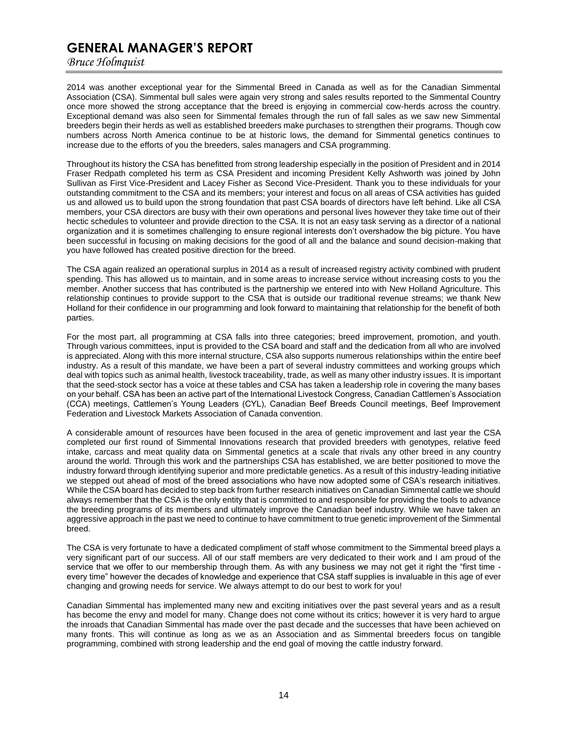## **GENERAL MANAGER'S REPORT**

*Bruce Holmquist*

2014 was another exceptional year for the Simmental Breed in Canada as well as for the Canadian Simmental Association (CSA). Simmental bull sales were again very strong and sales results reported to the Simmental Country once more showed the strong acceptance that the breed is enjoying in commercial cow-herds across the country. Exceptional demand was also seen for Simmental females through the run of fall sales as we saw new Simmental breeders begin their herds as well as established breeders make purchases to strengthen their programs. Though cow numbers across North America continue to be at historic lows, the demand for Simmental genetics continues to increase due to the efforts of you the breeders, sales managers and CSA programming.

Throughout its history the CSA has benefitted from strong leadership especially in the position of President and in 2014 Fraser Redpath completed his term as CSA President and incoming President Kelly Ashworth was joined by John Sullivan as First Vice-President and Lacey Fisher as Second Vice-President. Thank you to these individuals for your outstanding commitment to the CSA and its members; your interest and focus on all areas of CSA activities has guided us and allowed us to build upon the strong foundation that past CSA boards of directors have left behind. Like all CSA members, your CSA directors are busy with their own operations and personal lives however they take time out of their hectic schedules to volunteer and provide direction to the CSA. It is not an easy task serving as a director of a national organization and it is sometimes challenging to ensure regional interests don't overshadow the big picture. You have been successful in focusing on making decisions for the good of all and the balance and sound decision-making that you have followed has created positive direction for the breed.

The CSA again realized an operational surplus in 2014 as a result of increased registry activity combined with prudent spending. This has allowed us to maintain, and in some areas to increase service without increasing costs to you the member. Another success that has contributed is the partnership we entered into with New Holland Agriculture. This relationship continues to provide support to the CSA that is outside our traditional revenue streams; we thank New Holland for their confidence in our programming and look forward to maintaining that relationship for the benefit of both parties.

For the most part, all programming at CSA falls into three categories; breed improvement, promotion, and youth. Through various committees, input is provided to the CSA board and staff and the dedication from all who are involved is appreciated. Along with this more internal structure, CSA also supports numerous relationships within the entire beef industry. As a result of this mandate, we have been a part of several industry committees and working groups which deal with topics such as animal health, livestock traceability, trade, as well as many other industry issues. It is important that the seed-stock sector has a voice at these tables and CSA has taken a leadership role in covering the many bases on your behalf. CSA has been an active part of the International Livestock Congress, Canadian Cattlemen's Association (CCA) meetings, Cattlemen's Young Leaders (CYL), Canadian Beef Breeds Council meetings, Beef Improvement Federation and Livestock Markets Association of Canada convention.

A considerable amount of resources have been focused in the area of genetic improvement and last year the CSA completed our first round of Simmental Innovations research that provided breeders with genotypes, relative feed intake, carcass and meat quality data on Simmental genetics at a scale that rivals any other breed in any country around the world. Through this work and the partnerships CSA has established, we are better positioned to move the industry forward through identifying superior and more predictable genetics. As a result of this industry-leading initiative we stepped out ahead of most of the breed associations who have now adopted some of CSA's research initiatives. While the CSA board has decided to step back from further research initiatives on Canadian Simmental cattle we should always remember that the CSA is the only entity that is committed to and responsible for providing the tools to advance the breeding programs of its members and ultimately improve the Canadian beef industry. While we have taken an aggressive approach in the past we need to continue to have commitment to true genetic improvement of the Simmental breed.

The CSA is very fortunate to have a dedicated compliment of staff whose commitment to the Simmental breed plays a very significant part of our success. All of our staff members are very dedicated to their work and I am proud of the service that we offer to our membership through them. As with any business we may not get it right the "first time every time" however the decades of knowledge and experience that CSA staff supplies is invaluable in this age of ever changing and growing needs for service. We always attempt to do our best to work for you!

Canadian Simmental has implemented many new and exciting initiatives over the past several years and as a result has become the envy and model for many. Change does not come without its critics; however it is very hard to argue the inroads that Canadian Simmental has made over the past decade and the successes that have been achieved on many fronts. This will continue as long as we as an Association and as Simmental breeders focus on tangible programming, combined with strong leadership and the end goal of moving the cattle industry forward.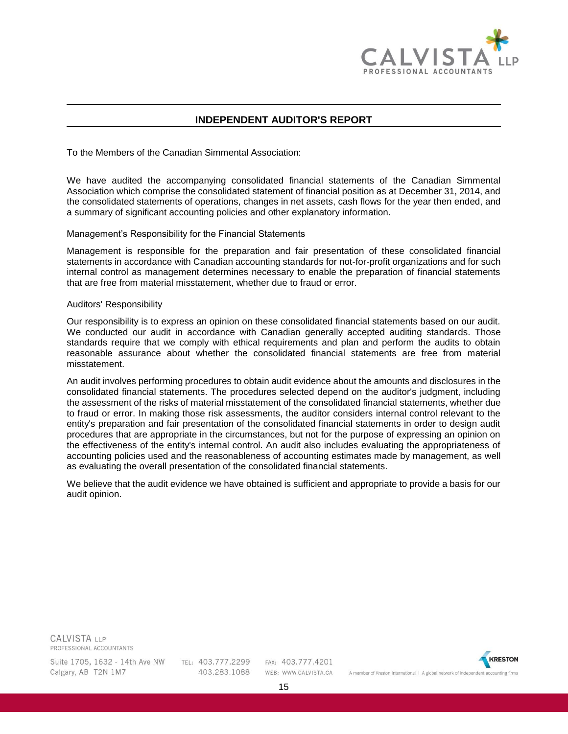

## **INDEPENDENT AUDITOR'S REPORT**

To the Members of the Canadian Simmental Association:

We have audited the accompanying consolidated financial statements of the Canadian Simmental Association which comprise the consolidated statement of financial position as at December 31, 2014, and the consolidated statements of operations, changes in net assets, cash flows for the year then ended, and a summary of significant accounting policies and other explanatory information.

Management's Responsibility for the Financial Statements

Management is responsible for the preparation and fair presentation of these consolidated financial statements in accordance with Canadian accounting standards for not-for-profit organizations and for such internal control as management determines necessary to enable the preparation of financial statements that are free from material misstatement, whether due to fraud or error.

#### Auditors' Responsibility

Our responsibility is to express an opinion on these consolidated financial statements based on our audit. We conducted our audit in accordance with Canadian generally accepted auditing standards. Those standards require that we comply with ethical requirements and plan and perform the audits to obtain reasonable assurance about whether the consolidated financial statements are free from material misstatement.

An audit involves performing procedures to obtain audit evidence about the amounts and disclosures in the consolidated financial statements. The procedures selected depend on the auditor's judgment, including the assessment of the risks of material misstatement of the consolidated financial statements, whether due to fraud or error. In making those risk assessments, the auditor considers internal control relevant to the entity's preparation and fair presentation of the consolidated financial statements in order to design audit procedures that are appropriate in the circumstances, but not for the purpose of expressing an opinion on the effectiveness of the entity's internal control. An audit also includes evaluating the appropriateness of accounting policies used and the reasonableness of accounting estimates made by management, as well as evaluating the overall presentation of the consolidated financial statements.

We believe that the audit evidence we have obtained is sufficient and appropriate to provide a basis for our audit opinion.

CALVISTA LLP PROFESSIONAL ACCOUNTANTS

Suite 1705, 1632 - 14th Ave NW Calgary, AB T2N 1M7

TEL: 403.777.2299 403.283.1088

FAX: 403.777.4201 WEB: WWW.CALVISTA.CA



A member of Kreston International | A global network of independent accounting firm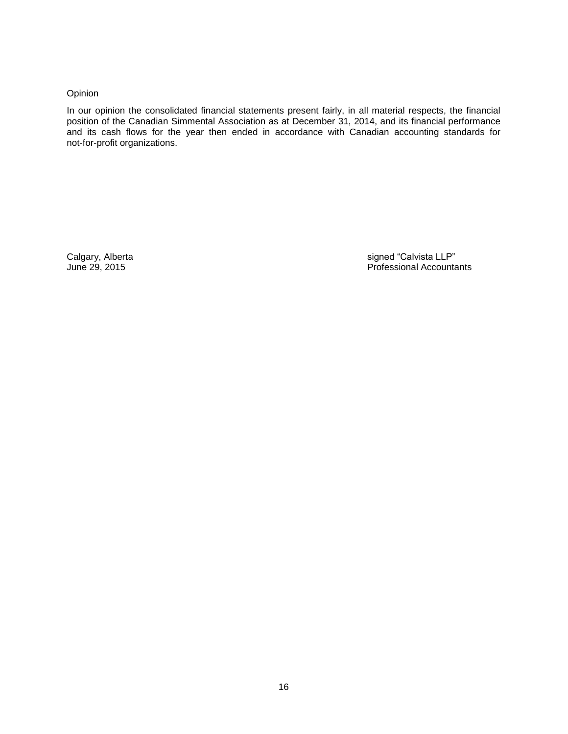## Opinion

In our opinion the consolidated financial statements present fairly, in all material respects, the financial position of the Canadian Simmental Association as at December 31, 2014, and its financial performance and its cash flows for the year then ended in accordance with Canadian accounting standards for not-for-profit organizations.

Calgary, Alberta Santa Superinten and Superinten and Superinten and Superinten and Superinten and Superinten and Superinten and Superinten and Superinten and Superinten and Superinten and Superinten and Superinten and Supe Professional Accountants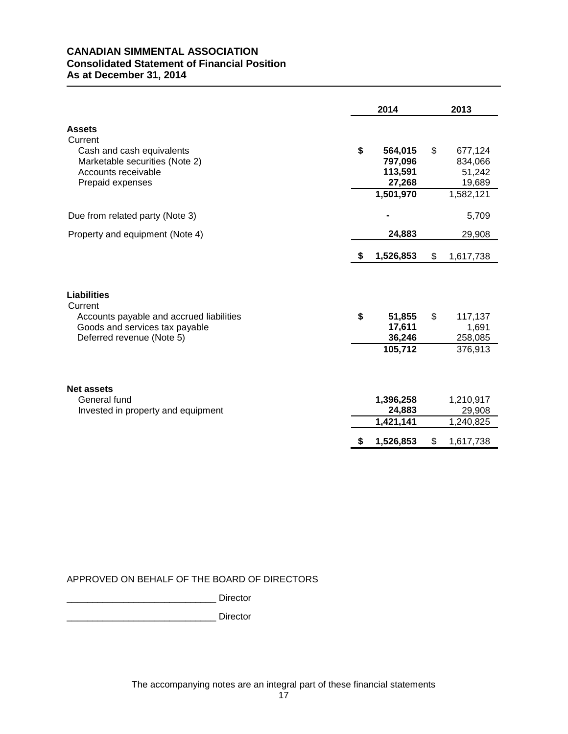## **CANADIAN SIMMENTAL ASSOCIATION Consolidated Statement of Financial Position As at December 31, 2014**

|                                                                                                                                          |    | 2014                                                 | 2013                                                      |
|------------------------------------------------------------------------------------------------------------------------------------------|----|------------------------------------------------------|-----------------------------------------------------------|
| <b>Assets</b><br>Current<br>Cash and cash equivalents<br>Marketable securities (Note 2)<br>Accounts receivable<br>Prepaid expenses       | \$ | 564,015<br>797,096<br>113,591<br>27,268<br>1,501,970 | \$<br>677,124<br>834,066<br>51,242<br>19,689<br>1,582,121 |
| Due from related party (Note 3)                                                                                                          |    |                                                      | 5,709                                                     |
| Property and equipment (Note 4)                                                                                                          |    | 24,883                                               | 29,908                                                    |
|                                                                                                                                          | S  | 1,526,853                                            | \$<br>1,617,738                                           |
| <b>Liabilities</b><br>Current<br>Accounts payable and accrued liabilities<br>Goods and services tax payable<br>Deferred revenue (Note 5) | \$ | 51,855<br>17,611<br>36,246<br>105,712                | \$<br>117,137<br>1,691<br>258,085<br>376,913              |
| <b>Net assets</b><br>General fund<br>Invested in property and equipment                                                                  | S  | 1,396,258<br>24,883<br>1,421,141<br>1,526,853        | \$<br>1,210,917<br>29,908<br>1,240,825<br>1,617,738       |

## APPROVED ON BEHALF OF THE BOARD OF DIRECTORS

\_\_\_\_\_\_\_\_\_\_\_\_\_\_\_\_\_\_\_\_\_\_\_\_\_\_\_\_\_ Director

\_\_\_\_\_\_\_\_\_\_\_\_\_\_\_\_\_\_\_\_\_\_\_\_\_\_\_\_\_ Director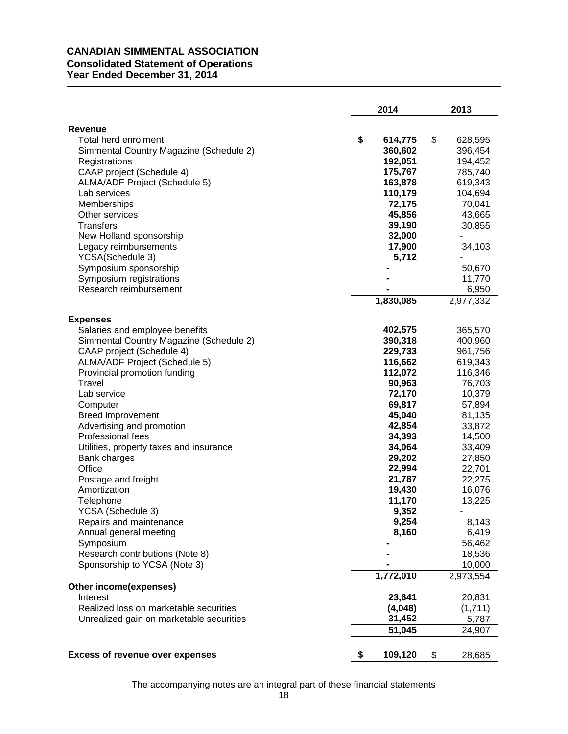## **CANADIAN SIMMENTAL ASSOCIATION Consolidated Statement of Operations Year Ended December 31, 2014**

|                                           | 2014             | 2013          |
|-------------------------------------------|------------------|---------------|
|                                           |                  |               |
| <b>Revenue</b>                            |                  |               |
| Total herd enrolment                      | \$<br>614,775    | \$<br>628,595 |
| Simmental Country Magazine (Schedule 2)   | 360,602          | 396,454       |
| Registrations                             | 192,051          | 194,452       |
| CAAP project (Schedule 4)                 | 175,767          | 785,740       |
| ALMA/ADF Project (Schedule 5)             | 163,878          | 619,343       |
| Lab services                              | 110,179          | 104,694       |
| Memberships                               | 72,175           | 70,041        |
| Other services<br><b>Transfers</b>        | 45,856<br>39,190 | 43,665        |
|                                           | 32,000           | 30,855        |
| New Holland sponsorship                   | 17,900           |               |
| Legacy reimbursements<br>YCSA(Schedule 3) |                  | 34,103        |
| Symposium sponsorship                     | 5,712            |               |
| Symposium registrations                   |                  | 50,670        |
| Research reimbursement                    |                  | 11,770        |
|                                           |                  | 6,950         |
|                                           | 1,830,085        | 2,977,332     |
| <b>Expenses</b>                           |                  |               |
| Salaries and employee benefits            | 402,575          | 365,570       |
| Simmental Country Magazine (Schedule 2)   | 390,318          | 400,960       |
| CAAP project (Schedule 4)                 | 229,733          | 961,756       |
| ALMA/ADF Project (Schedule 5)             | 116,662          | 619,343       |
| Provincial promotion funding              | 112,072          | 116,346       |
| Travel                                    | 90,963           | 76,703        |
| Lab service                               | 72,170           | 10,379        |
| Computer                                  | 69,817           | 57,894        |
| <b>Breed improvement</b>                  | 45,040           | 81,135        |
| Advertising and promotion                 | 42,854           | 33,872        |
| <b>Professional fees</b>                  | 34,393           | 14,500        |
| Utilities, property taxes and insurance   | 34,064           | 33,409        |
| Bank charges                              | 29,202           | 27,850        |
| Office                                    | 22,994           | 22,701        |
| Postage and freight                       | 21,787           | 22,275        |
| Amortization                              | 19,430           | 16,076        |
| Telephone                                 | 11,170           | 13,225        |
| YCSA (Schedule 3)                         | 9,352            |               |
| Repairs and maintenance                   | 9,254            | 8,143         |
| Annual general meeting                    | 8,160            | 6,419         |
| Symposium                                 |                  | 56,462        |
| Research contributions (Note 8)           |                  | 18,536        |
| Sponsorship to YCSA (Note 3)              |                  | 10,000        |
|                                           | 1,772,010        | 2,973,554     |
| Other income(expenses)<br>Interest        | 23,641           | 20,831        |
| Realized loss on marketable securities    | (4,048)          | (1,711)       |
| Unrealized gain on marketable securities  | 31,452           | 5,787         |
|                                           | 51,045           | 24,907        |
|                                           |                  |               |
| <b>Excess of revenue over expenses</b>    | \$<br>109,120    | \$<br>28,685  |

The accompanying notes are an integral part of these financial statements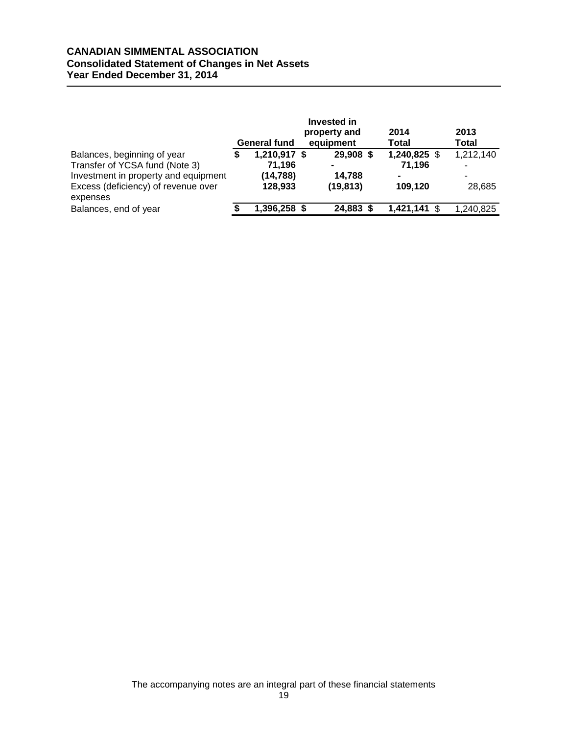## **CANADIAN SIMMENTAL ASSOCIATION Consolidated Statement of Changes in Net Assets Year Ended December 31, 2014**

|                                                                                                                                                          | <b>General fund</b>                           | Invested in<br>property and<br>equipment | 2014<br>Total                                       | 2013<br>Total       |
|----------------------------------------------------------------------------------------------------------------------------------------------------------|-----------------------------------------------|------------------------------------------|-----------------------------------------------------|---------------------|
| Balances, beginning of year<br>Transfer of YCSA fund (Note 3)<br>Investment in property and equipment<br>Excess (deficiency) of revenue over<br>expenses | 1,210,917 \$<br>71,196<br>(14,788)<br>128,933 | 29,908 \$<br>14,788<br>(19, 813)         | 1,240,825 \$<br>71,196<br>$\blacksquare$<br>109,120 | 1,212,140<br>28,685 |
| Balances, end of year                                                                                                                                    | 1,396,258 \$                                  | 24,883                                   | $1,421,141$ \$                                      | 1,240,825           |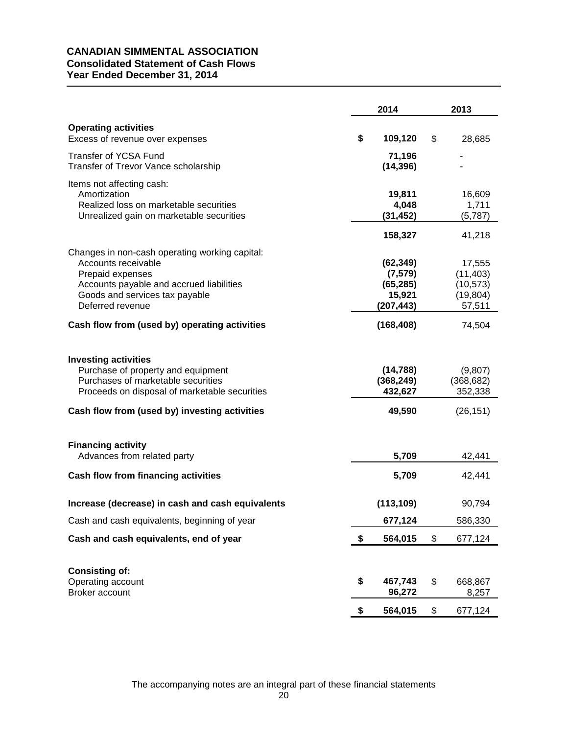## **CANADIAN SIMMENTAL ASSOCIATION Consolidated Statement of Cash Flows Year Ended December 31, 2014**

|                                                                                                                                                                                                           | 2014                                                                  | 2013                                                              |
|-----------------------------------------------------------------------------------------------------------------------------------------------------------------------------------------------------------|-----------------------------------------------------------------------|-------------------------------------------------------------------|
| <b>Operating activities</b><br>Excess of revenue over expenses                                                                                                                                            | \$<br>109,120                                                         | \$<br>28,685                                                      |
| <b>Transfer of YCSA Fund</b><br>Transfer of Trevor Vance scholarship                                                                                                                                      | 71,196<br>(14, 396)                                                   |                                                                   |
| Items not affecting cash:<br>Amortization<br>Realized loss on marketable securities<br>Unrealized gain on marketable securities                                                                           | 19,811<br>4,048<br>(31, 452)                                          | 16,609<br>1,711<br>(5,787)                                        |
| Changes in non-cash operating working capital:<br>Accounts receivable<br>Prepaid expenses<br>Accounts payable and accrued liabilities<br>Goods and services tax payable<br>Deferred revenue               | 158,327<br>(62, 349)<br>(7, 579)<br>(65, 285)<br>15,921<br>(207, 443) | 41,218<br>17,555<br>(11, 403)<br>(10, 573)<br>(19, 804)<br>57,511 |
| Cash flow from (used by) operating activities                                                                                                                                                             | (168, 408)                                                            | 74,504                                                            |
| <b>Investing activities</b><br>Purchase of property and equipment<br>Purchases of marketable securities<br>Proceeds on disposal of marketable securities<br>Cash flow from (used by) investing activities | (14, 788)<br>(368, 249)<br>432,627<br>49,590                          | (9,807)<br>(368, 682)<br>352,338<br>(26, 151)                     |
| <b>Financing activity</b><br>Advances from related party                                                                                                                                                  | 5,709                                                                 | 42,441                                                            |
| <b>Cash flow from financing activities</b>                                                                                                                                                                | 5,709                                                                 | 42,441                                                            |
| Increase (decrease) in cash and cash equivalents                                                                                                                                                          | (113, 109)                                                            | 90,794                                                            |
| Cash and cash equivalents, beginning of year                                                                                                                                                              | 677,124                                                               | 586,330                                                           |
| Cash and cash equivalents, end of year                                                                                                                                                                    | \$<br>564,015                                                         | \$<br>677,124                                                     |
| <b>Consisting of:</b><br>Operating account<br>Broker account                                                                                                                                              | \$<br>467,743<br>96,272                                               | \$<br>668,867<br>8,257                                            |
|                                                                                                                                                                                                           | \$<br>564,015                                                         | \$<br>677,124                                                     |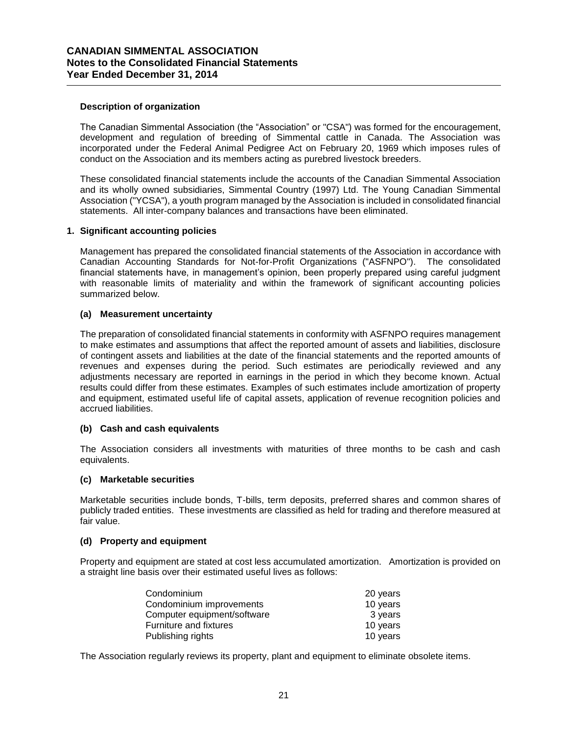## **Description of organization**

The Canadian Simmental Association (the "Association" or "CSA") was formed for the encouragement, development and regulation of breeding of Simmental cattle in Canada. The Association was incorporated under the Federal Animal Pedigree Act on February 20, 1969 which imposes rules of conduct on the Association and its members acting as purebred livestock breeders.

These consolidated financial statements include the accounts of the Canadian Simmental Association and its wholly owned subsidiaries, Simmental Country (1997) Ltd. The Young Canadian Simmental Association ("YCSA"), a youth program managed by the Association is included in consolidated financial statements. All inter-company balances and transactions have been eliminated.

## **1. Significant accounting policies**

Management has prepared the consolidated financial statements of the Association in accordance with Canadian Accounting Standards for Not-for-Profit Organizations ("ASFNPO"). The consolidated financial statements have, in management's opinion, been properly prepared using careful judgment with reasonable limits of materiality and within the framework of significant accounting policies summarized below.

## **(a) Measurement uncertainty**

The preparation of consolidated financial statements in conformity with ASFNPO requires management to make estimates and assumptions that affect the reported amount of assets and liabilities, disclosure of contingent assets and liabilities at the date of the financial statements and the reported amounts of revenues and expenses during the period. Such estimates are periodically reviewed and any adjustments necessary are reported in earnings in the period in which they become known. Actual results could differ from these estimates. Examples of such estimates include amortization of property and equipment, estimated useful life of capital assets, application of revenue recognition policies and accrued liabilities.

### **(b) Cash and cash equivalents**

The Association considers all investments with maturities of three months to be cash and cash equivalents.

## **(c) Marketable securities**

Marketable securities include bonds, T-bills, term deposits, preferred shares and common shares of publicly traded entities. These investments are classified as held for trading and therefore measured at fair value.

### **(d) Property and equipment**

Property and equipment are stated at cost less accumulated amortization. Amortization is provided on a straight line basis over their estimated useful lives as follows:

| Condominium                 | 20 years |
|-----------------------------|----------|
| Condominium improvements    | 10 years |
| Computer equipment/software | 3 years  |
| Furniture and fixtures      | 10 years |
| Publishing rights           | 10 years |
|                             |          |

The Association regularly reviews its property, plant and equipment to eliminate obsolete items.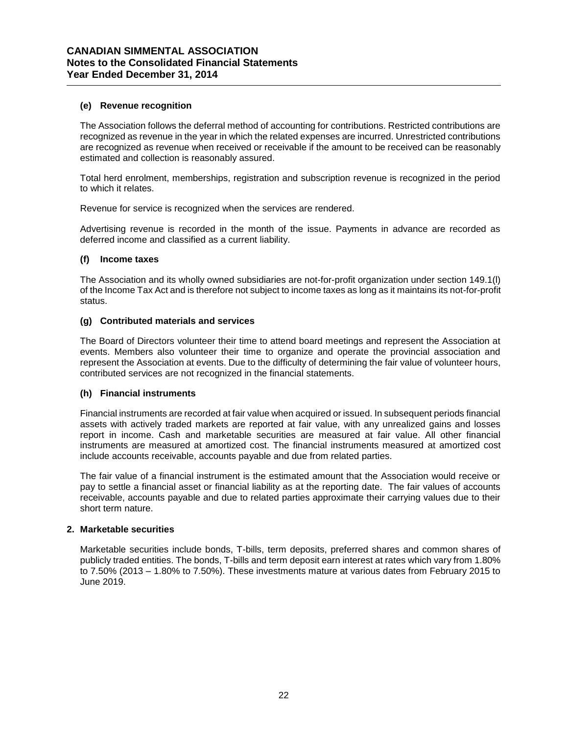## **(e) Revenue recognition**

The Association follows the deferral method of accounting for contributions. Restricted contributions are recognized as revenue in the year in which the related expenses are incurred. Unrestricted contributions are recognized as revenue when received or receivable if the amount to be received can be reasonably estimated and collection is reasonably assured.

Total herd enrolment, memberships, registration and subscription revenue is recognized in the period to which it relates.

Revenue for service is recognized when the services are rendered.

Advertising revenue is recorded in the month of the issue. Payments in advance are recorded as deferred income and classified as a current liability.

## **(f) Income taxes**

The Association and its wholly owned subsidiaries are not-for-profit organization under section 149.1(l) of the Income Tax Act and is therefore not subject to income taxes as long as it maintains its not-for-profit status.

## **(g) Contributed materials and services**

The Board of Directors volunteer their time to attend board meetings and represent the Association at events. Members also volunteer their time to organize and operate the provincial association and represent the Association at events. Due to the difficulty of determining the fair value of volunteer hours, contributed services are not recognized in the financial statements.

### **(h) Financial instruments**

Financial instruments are recorded at fair value when acquired or issued. In subsequent periods financial assets with actively traded markets are reported at fair value, with any unrealized gains and losses report in income. Cash and marketable securities are measured at fair value. All other financial instruments are measured at amortized cost. The financial instruments measured at amortized cost include accounts receivable, accounts payable and due from related parties.

The fair value of a financial instrument is the estimated amount that the Association would receive or pay to settle a financial asset or financial liability as at the reporting date. The fair values of accounts receivable, accounts payable and due to related parties approximate their carrying values due to their short term nature.

### **2. Marketable securities**

Marketable securities include bonds, T-bills, term deposits, preferred shares and common shares of publicly traded entities. The bonds, T-bills and term deposit earn interest at rates which vary from 1.80% to 7.50% (2013 – 1.80% to 7.50%). These investments mature at various dates from February 2015 to June 2019.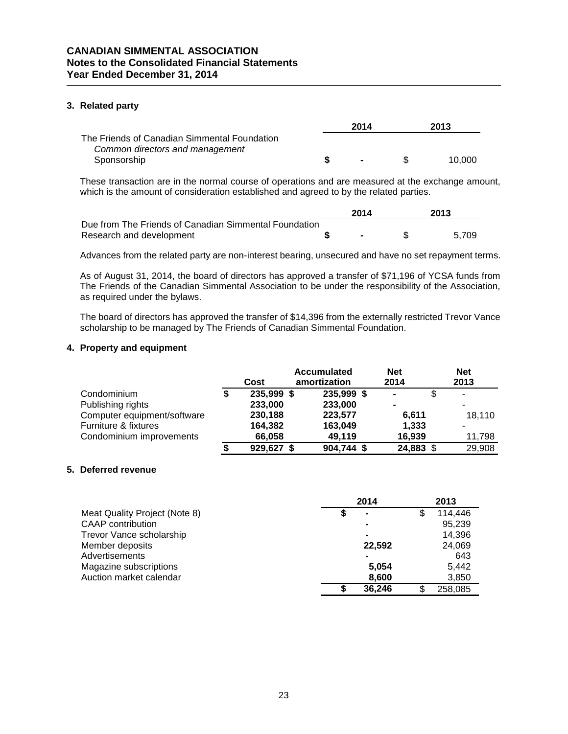## **CANADIAN SIMMENTAL ASSOCIATION Notes to the Consolidated Financial Statements Year Ended December 31, 2014**

## **3. Related party**

|                                                                                 | 2014           | 2013   |
|---------------------------------------------------------------------------------|----------------|--------|
| The Friends of Canadian Simmental Foundation<br>Common directors and management |                |        |
| Sponsorship                                                                     | $\blacksquare$ | 10.000 |

These transaction are in the normal course of operations and are measured at the exchange amount, which is the amount of consideration established and agreed to by the related parties.

|                                                       | 2014 | 2013  |
|-------------------------------------------------------|------|-------|
| Due from The Friends of Canadian Simmental Foundation |      |       |
| Research and development                              |      | 5.709 |

Advances from the related party are non-interest bearing, unsecured and have no set repayment terms.

As of August 31, 2014, the board of directors has approved a transfer of \$71,196 of YCSA funds from The Friends of the Canadian Simmental Association to be under the responsibility of the Association, as required under the bylaws.

The board of directors has approved the transfer of \$14,396 from the externally restricted Trevor Vance scholarship to be managed by The Friends of Canadian Simmental Foundation.

## **4. Property and equipment**

|                             | Cost             | <b>Accumulated</b><br>amortization | <b>Net</b><br>2014 |           | <b>Net</b><br>2013 |
|-----------------------------|------------------|------------------------------------|--------------------|-----------|--------------------|
| Condominium                 | \$<br>235,999 \$ | 235,999 \$                         | $\blacksquare$     |           | ٠                  |
| Publishing rights           | 233,000          | 233,000                            |                    |           |                    |
| Computer equipment/software | 230,188          | 223,577                            | 6.611              |           | 18,110             |
| Furniture & fixtures        | 164,382          | 163,049                            | 1,333              |           | -                  |
| Condominium improvements    | 66,058           | 49,119                             | 16,939             |           | 11,798             |
|                             | 929,627 \$       | 904,744 \$                         |                    | 24,883 \$ | 29,908             |

## **5. Deferred revenue**

|                               | 2014   |    | 2013    |
|-------------------------------|--------|----|---------|
| Meat Quality Project (Note 8) |        | \$ | 114,446 |
| <b>CAAP</b> contribution      | -      |    | 95.239  |
| Trevor Vance scholarship      | -      |    | 14.396  |
| Member deposits               | 22.592 |    | 24,069  |
| Advertisements                | -      |    | 643     |
| Magazine subscriptions        | 5.054  |    | 5,442   |
| Auction market calendar       | 8,600  |    | 3,850   |
|                               | 36.246 | S  | 258,085 |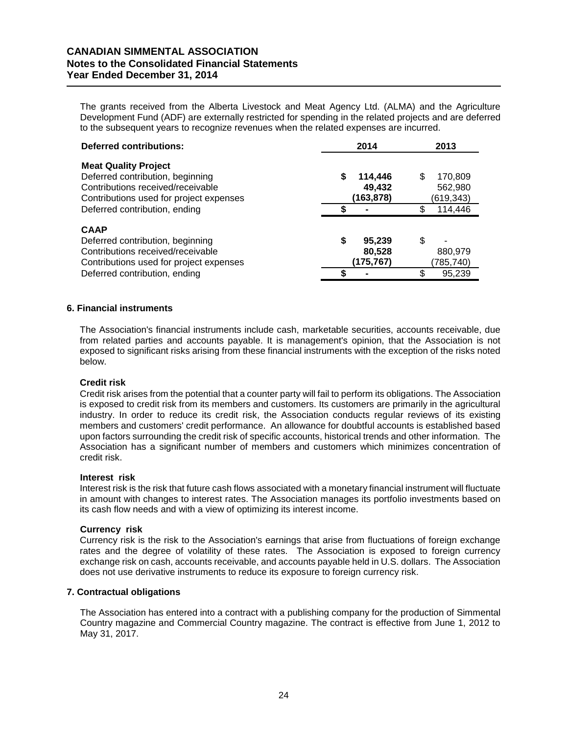## **CANADIAN SIMMENTAL ASSOCIATION Notes to the Consolidated Financial Statements Year Ended December 31, 2014**

The grants received from the Alberta Livestock and Meat Agency Ltd. (ALMA) and the Agriculture Development Fund (ADF) are externally restricted for spending in the related projects and are deferred to the subsequent years to recognize revenues when the related expenses are incurred.

| <b>Deferred contributions:</b>          | 2014         | 2013          |
|-----------------------------------------|--------------|---------------|
| <b>Meat Quality Project</b>             |              |               |
| Deferred contribution, beginning        | 114,446<br>S | S<br>170,809  |
| Contributions received/receivable       | 49,432       | 562,980       |
| Contributions used for project expenses | (163,878)    | (619,343)     |
| Deferred contribution, ending           |              | 114,446<br>\$ |
| <b>CAAP</b>                             |              |               |
| Deferred contribution, beginning        | S<br>95,239  | \$            |
| Contributions received/receivable       | 80,528       | 880,979       |
| Contributions used for project expenses | (175,767)    | (785,740)     |
| Deferred contribution, ending           |              | 95,239<br>ፍ   |

### **6. Financial instruments**

The Association's financial instruments include cash, marketable securities, accounts receivable, due from related parties and accounts payable. It is management's opinion, that the Association is not exposed to significant risks arising from these financial instruments with the exception of the risks noted below.

### **Credit risk**

Credit risk arises from the potential that a counter party will fail to perform its obligations. The Association is exposed to credit risk from its members and customers. Its customers are primarily in the agricultural industry. In order to reduce its credit risk, the Association conducts regular reviews of its existing members and customers' credit performance. An allowance for doubtful accounts is established based upon factors surrounding the credit risk of specific accounts, historical trends and other information. The Association has a significant number of members and customers which minimizes concentration of credit risk.

#### **Interest risk**

Interest risk is the risk that future cash flows associated with a monetary financial instrument will fluctuate in amount with changes to interest rates. The Association manages its portfolio investments based on its cash flow needs and with a view of optimizing its interest income.

#### **Currency risk**

Currency risk is the risk to the Association's earnings that arise from fluctuations of foreign exchange rates and the degree of volatility of these rates. The Association is exposed to foreign currency exchange risk on cash, accounts receivable, and accounts payable held in U.S. dollars. The Association does not use derivative instruments to reduce its exposure to foreign currency risk.

#### **7. Contractual obligations**

The Association has entered into a contract with a publishing company for the production of Simmental Country magazine and Commercial Country magazine. The contract is effective from June 1, 2012 to May 31, 2017.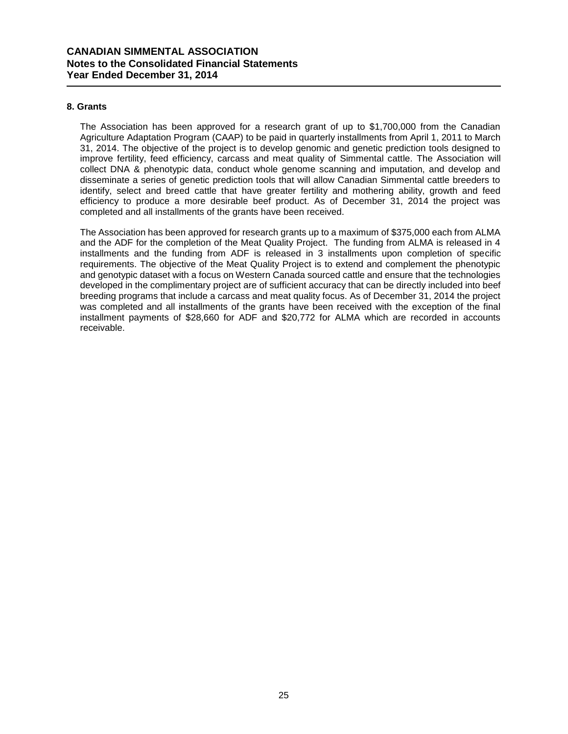## **8. Grants**

The Association has been approved for a research grant of up to \$1,700,000 from the Canadian Agriculture Adaptation Program (CAAP) to be paid in quarterly installments from April 1, 2011 to March 31, 2014. The objective of the project is to develop genomic and genetic prediction tools designed to improve fertility, feed efficiency, carcass and meat quality of Simmental cattle. The Association will collect DNA & phenotypic data, conduct whole genome scanning and imputation, and develop and disseminate a series of genetic prediction tools that will allow Canadian Simmental cattle breeders to identify, select and breed cattle that have greater fertility and mothering ability, growth and feed efficiency to produce a more desirable beef product. As of December 31, 2014 the project was completed and all installments of the grants have been received.

The Association has been approved for research grants up to a maximum of \$375,000 each from ALMA and the ADF for the completion of the Meat Quality Project. The funding from ALMA is released in 4 installments and the funding from ADF is released in 3 installments upon completion of specific requirements. The objective of the Meat Quality Project is to extend and complement the phenotypic and genotypic dataset with a focus on Western Canada sourced cattle and ensure that the technologies developed in the complimentary project are of sufficient accuracy that can be directly included into beef breeding programs that include a carcass and meat quality focus. As of December 31, 2014 the project was completed and all installments of the grants have been received with the exception of the final installment payments of \$28,660 for ADF and \$20,772 for ALMA which are recorded in accounts receivable.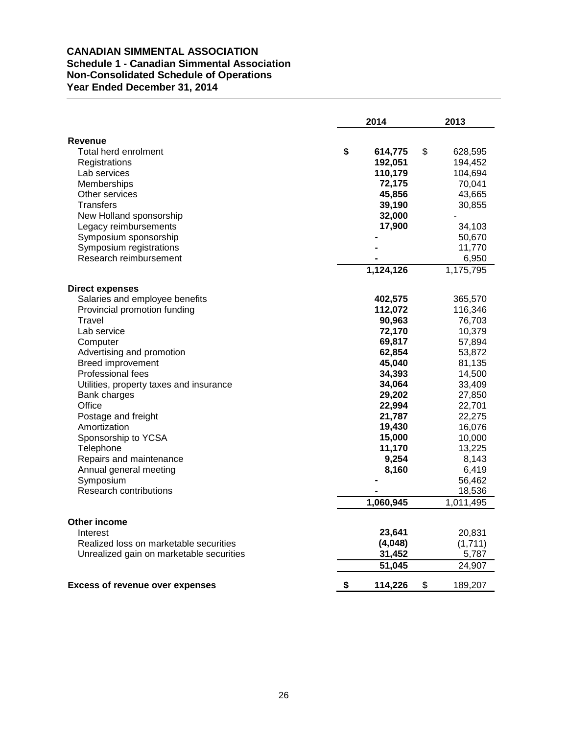## **CANADIAN SIMMENTAL ASSOCIATION Schedule 1 - Canadian Simmental Association Non-Consolidated Schedule of Operations Year Ended December 31, 2014**

|                                          | 2014          | 2013          |
|------------------------------------------|---------------|---------------|
| <b>Revenue</b>                           |               |               |
| Total herd enrolment                     | \$<br>614,775 | \$<br>628,595 |
| Registrations                            | 192,051       | 194,452       |
| Lab services                             | 110,179       | 104,694       |
| Memberships                              | 72,175        | 70,041        |
| Other services                           | 45,856        | 43,665        |
| Transfers                                | 39,190        | 30,855        |
| New Holland sponsorship                  | 32,000        |               |
| Legacy reimbursements                    | 17,900        | 34,103        |
| Symposium sponsorship                    |               | 50,670        |
| Symposium registrations                  |               | 11,770        |
| Research reimbursement                   |               | 6,950         |
|                                          | 1,124,126     | 1,175,795     |
| <b>Direct expenses</b>                   |               |               |
| Salaries and employee benefits           | 402,575       | 365,570       |
| Provincial promotion funding             | 112,072       | 116,346       |
| Travel                                   | 90,963        | 76,703        |
| Lab service                              | 72,170        | 10,379        |
| Computer                                 | 69,817        | 57,894        |
| Advertising and promotion                | 62,854        | 53,872        |
| Breed improvement                        | 45,040        | 81,135        |
| Professional fees                        | 34,393        | 14,500        |
| Utilities, property taxes and insurance  | 34,064        | 33,409        |
| <b>Bank charges</b>                      | 29,202        | 27,850        |
| Office                                   | 22,994        | 22,701        |
| Postage and freight                      | 21,787        | 22,275        |
| Amortization                             | 19,430        | 16,076        |
| Sponsorship to YCSA                      | 15,000        | 10,000        |
| Telephone                                | 11,170        | 13,225        |
| Repairs and maintenance                  | 9,254         | 8,143         |
| Annual general meeting                   | 8,160         | 6,419         |
| Symposium                                |               | 56,462        |
| <b>Research contributions</b>            |               | 18,536        |
|                                          | 1,060,945     | 1,011,495     |
| Other income                             |               |               |
| Interest                                 | 23,641        | 20,831        |
| Realized loss on marketable securities   | (4,048)       | (1,711)       |
| Unrealized gain on marketable securities | 31,452        | 5,787         |
|                                          | 51,045        | 24,907        |
| <b>Excess of revenue over expenses</b>   | \$<br>114,226 | \$<br>189,207 |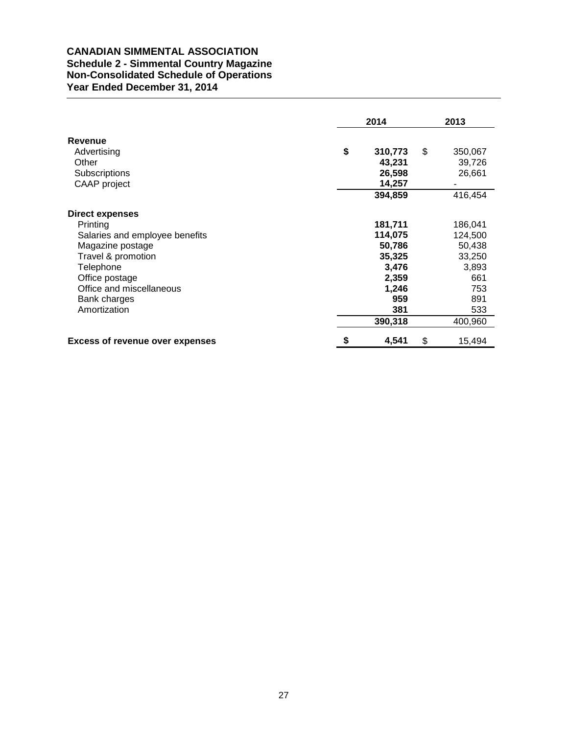## **CANADIAN SIMMENTAL ASSOCIATION Schedule 2 - Simmental Country Magazine Non-Consolidated Schedule of Operations Year Ended December 31, 2014**

|                                        | 2014          | 2013          |
|----------------------------------------|---------------|---------------|
| <b>Revenue</b>                         |               |               |
| Advertising                            | \$<br>310,773 | \$<br>350,067 |
| Other                                  | 43,231        | 39,726        |
| Subscriptions                          | 26,598        | 26,661        |
| CAAP project                           | 14,257        |               |
|                                        | 394,859       | 416,454       |
| <b>Direct expenses</b>                 |               |               |
| Printing                               | 181,711       | 186,041       |
| Salaries and employee benefits         | 114,075       | 124,500       |
| Magazine postage                       | 50,786        | 50,438        |
| Travel & promotion                     | 35,325        | 33,250        |
| Telephone                              | 3,476         | 3,893         |
| Office postage                         | 2,359         | 661           |
| Office and miscellaneous               | 1,246         | 753           |
| Bank charges                           | 959           | 891           |
| Amortization                           | 381           | 533           |
|                                        | 390,318       | 400,960       |
| <b>Excess of revenue over expenses</b> | \$<br>4,541   | \$<br>15,494  |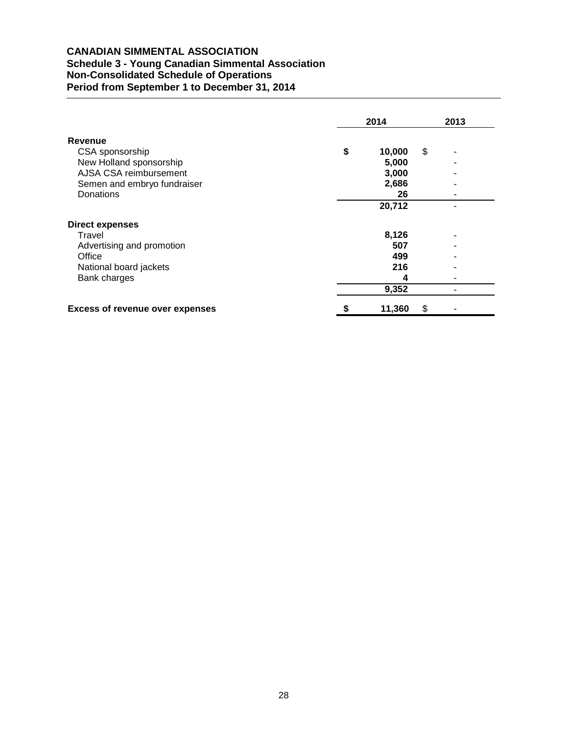## **CANADIAN SIMMENTAL ASSOCIATION Schedule 3 - Young Canadian Simmental Association Non-Consolidated Schedule of Operations Period from September 1 to December 31, 2014**

|                                        | 2014         | 2013           |
|----------------------------------------|--------------|----------------|
| <b>Revenue</b>                         |              |                |
| CSA sponsorship                        | \$<br>10,000 | \$             |
| New Holland sponsorship                | 5,000        |                |
| AJSA CSA reimbursement                 | 3,000        |                |
| Semen and embryo fundraiser            | 2,686        |                |
| Donations                              | 26           |                |
|                                        | 20,712       |                |
| <b>Direct expenses</b>                 |              |                |
| Travel                                 | 8,126        |                |
| Advertising and promotion              | 507          |                |
| Office                                 | 499          |                |
| National board jackets                 | 216          |                |
| <b>Bank charges</b>                    | 4            |                |
|                                        | 9,352        | $\blacksquare$ |
| <b>Excess of revenue over expenses</b> | 11,360       | \$             |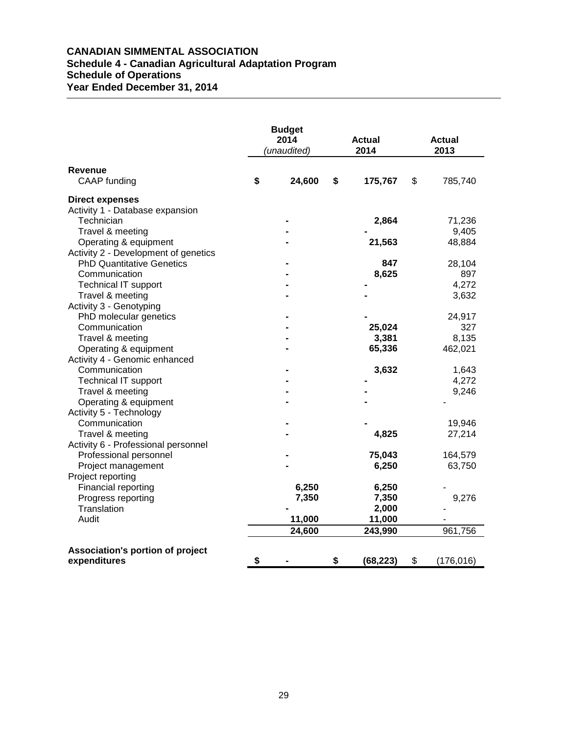## **CANADIAN SIMMENTAL ASSOCIATION Schedule 4 - Canadian Agricultural Adaptation Program Schedule of Operations Year Ended December 31, 2014**

|                                                                          | <b>Budget</b><br>2014<br>(unaudited) |        | <b>Actual</b><br>2014 | <b>Actual</b><br>2013 |                 |
|--------------------------------------------------------------------------|--------------------------------------|--------|-----------------------|-----------------------|-----------------|
| Revenue                                                                  |                                      |        |                       |                       |                 |
| <b>CAAP</b> funding                                                      | \$                                   | 24,600 | \$<br>175,767         | \$                    | 785,740         |
| <b>Direct expenses</b><br>Activity 1 - Database expansion                |                                      |        |                       |                       |                 |
| Technician<br>Travel & meeting                                           |                                      |        | 2,864                 |                       | 71,236<br>9,405 |
| Operating & equipment                                                    |                                      |        | 21,563                |                       | 48,884          |
| Activity 2 - Development of genetics<br><b>PhD Quantitative Genetics</b> |                                      |        | 847                   |                       | 28,104          |
| Communication                                                            |                                      |        | 8,625                 |                       | 897             |
| <b>Technical IT support</b>                                              |                                      |        |                       |                       | 4,272           |
| Travel & meeting                                                         |                                      |        |                       |                       | 3,632           |
| Activity 3 - Genotyping                                                  |                                      |        |                       |                       |                 |
| PhD molecular genetics                                                   |                                      |        |                       |                       | 24,917          |
| Communication                                                            |                                      |        | 25,024                |                       | 327             |
| Travel & meeting                                                         |                                      |        | 3,381                 |                       | 8,135           |
| Operating & equipment<br>Activity 4 - Genomic enhanced                   |                                      |        | 65,336                |                       | 462,021         |
| Communication                                                            |                                      |        | 3,632                 |                       | 1,643           |
| <b>Technical IT support</b>                                              |                                      |        |                       |                       | 4,272           |
| Travel & meeting                                                         |                                      |        |                       |                       | 9,246           |
| Operating & equipment                                                    |                                      |        |                       |                       |                 |
| Activity 5 - Technology                                                  |                                      |        |                       |                       |                 |
| Communication                                                            |                                      |        |                       |                       | 19,946          |
| Travel & meeting                                                         |                                      |        | 4,825                 |                       | 27,214          |
| Activity 6 - Professional personnel                                      |                                      |        |                       |                       |                 |
| Professional personnel                                                   |                                      |        | 75,043                |                       | 164,579         |
| Project management                                                       |                                      |        | 6,250                 |                       | 63,750          |
| Project reporting                                                        |                                      |        |                       |                       |                 |
| Financial reporting                                                      |                                      | 6,250  | 6,250                 |                       |                 |
| Progress reporting                                                       |                                      | 7,350  | 7,350                 |                       | 9,276           |
| Translation                                                              |                                      |        | 2,000                 |                       |                 |
| Audit                                                                    |                                      | 11,000 | 11,000                |                       |                 |
|                                                                          |                                      | 24,600 | 243,990               |                       | 961,756         |
| <b>Association's portion of project</b><br>expenditures                  | \$                                   |        | \$<br>(68, 223)       | \$                    | (176, 016)      |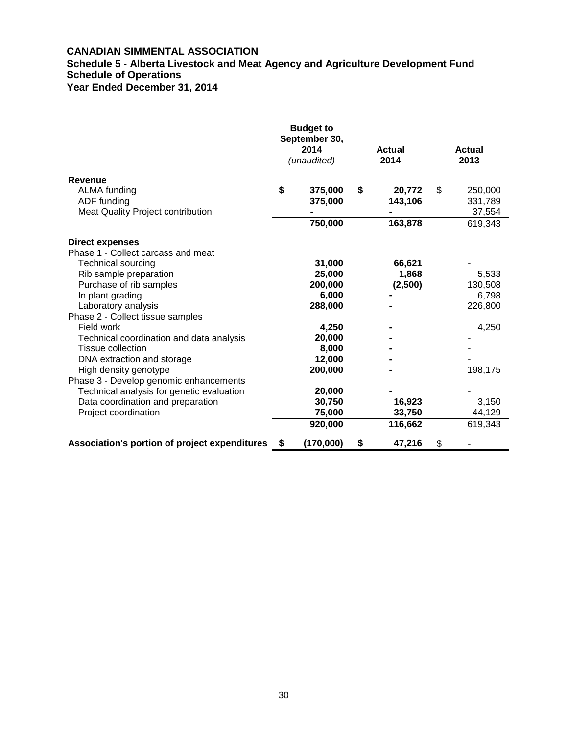## **CANADIAN SIMMENTAL ASSOCIATION Schedule 5 - Alberta Livestock and Meat Agency and Agriculture Development Fund Schedule of Operations Year Ended December 31, 2014**

|                                                                                                                                                                                                                  | <b>Budget to</b><br>September 30,<br>2014<br>(unaudited) |                                                    | Actual<br>2014                              | Actual<br>2013                                |
|------------------------------------------------------------------------------------------------------------------------------------------------------------------------------------------------------------------|----------------------------------------------------------|----------------------------------------------------|---------------------------------------------|-----------------------------------------------|
| Revenue<br><b>ALMA</b> funding<br>ADF funding<br>Meat Quality Project contribution                                                                                                                               | \$                                                       | 375,000<br>375,000<br>750,000                      | \$<br>20,772<br>143,106<br>163,878          | \$<br>250,000<br>331,789<br>37,554<br>619,343 |
| <b>Direct expenses</b><br>Phase 1 - Collect carcass and meat<br><b>Technical sourcing</b><br>Rib sample preparation<br>Purchase of rib samples<br>In plant grading<br>Laboratory analysis                        |                                                          | 31,000<br>25,000<br>200,000<br>6,000<br>288,000    | 66,621<br>1,868<br>(2,500)                  | 5,533<br>130,508<br>6,798<br>226,800          |
| Phase 2 - Collect tissue samples<br>Field work<br>Technical coordination and data analysis<br>Tissue collection<br>DNA extraction and storage<br>High density genotype<br>Phase 3 - Develop genomic enhancements |                                                          | 4,250<br>20,000<br>8,000<br>12,000<br>200,000      |                                             | 4,250<br>198,175                              |
| Technical analysis for genetic evaluation<br>Data coordination and preparation<br>Project coordination<br>Association's portion of project expenditures                                                          | \$                                                       | 20,000<br>30,750<br>75,000<br>920,000<br>(170,000) | \$<br>16,923<br>33,750<br>116,662<br>47,216 | \$<br>3,150<br>44,129<br>619,343              |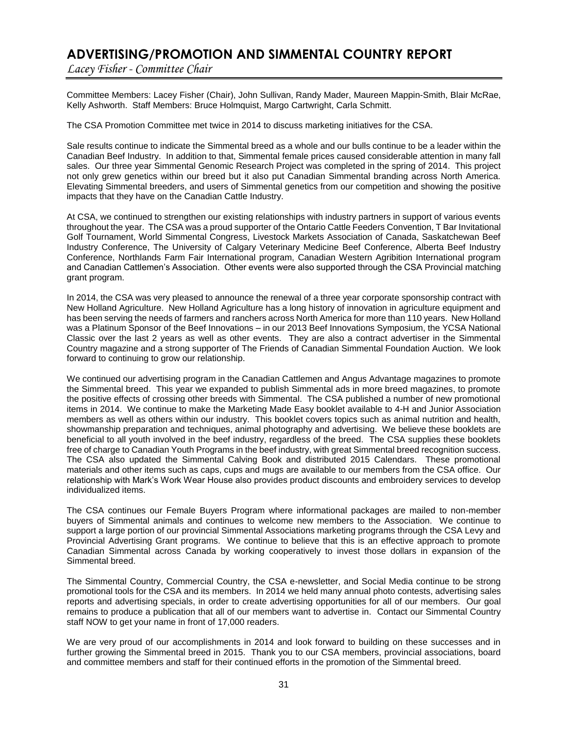## **ADVERTISING/PROMOTION AND SIMMENTAL COUNTRY REPORT**

*Lacey Fisher - Committee Chair*

Committee Members: Lacey Fisher (Chair), John Sullivan, Randy Mader, Maureen Mappin-Smith, Blair McRae, Kelly Ashworth. Staff Members: Bruce Holmquist, Margo Cartwright, Carla Schmitt.

The CSA Promotion Committee met twice in 2014 to discuss marketing initiatives for the CSA.

Sale results continue to indicate the Simmental breed as a whole and our bulls continue to be a leader within the Canadian Beef Industry. In addition to that, Simmental female prices caused considerable attention in many fall sales. Our three year Simmental Genomic Research Project was completed in the spring of 2014. This project not only grew genetics within our breed but it also put Canadian Simmental branding across North America. Elevating Simmental breeders, and users of Simmental genetics from our competition and showing the positive impacts that they have on the Canadian Cattle Industry.

At CSA, we continued to strengthen our existing relationships with industry partners in support of various events throughout the year. The CSA was a proud supporter of the Ontario Cattle Feeders Convention, T Bar Invitational Golf Tournament, World Simmental Congress, Livestock Markets Association of Canada, Saskatchewan Beef Industry Conference, The University of Calgary Veterinary Medicine Beef Conference, Alberta Beef Industry Conference, Northlands Farm Fair International program, Canadian Western Agribition International program and Canadian Cattlemen's Association. Other events were also supported through the CSA Provincial matching grant program.

In 2014, the CSA was very pleased to announce the renewal of a three year corporate sponsorship contract with New Holland Agriculture. New Holland Agriculture has a long history of innovation in agriculture equipment and has been serving the needs of farmers and ranchers across North America for more than 110 years. New Holland was a Platinum Sponsor of the Beef Innovations – in our 2013 Beef Innovations Symposium, the YCSA National Classic over the last 2 years as well as other events. They are also a contract advertiser in the Simmental Country magazine and a strong supporter of The Friends of Canadian Simmental Foundation Auction. We look forward to continuing to grow our relationship.

We continued our advertising program in the Canadian Cattlemen and Angus Advantage magazines to promote the Simmental breed. This year we expanded to publish Simmental ads in more breed magazines, to promote the positive effects of crossing other breeds with Simmental. The CSA published a number of new promotional items in 2014. We continue to make the Marketing Made Easy booklet available to 4-H and Junior Association members as well as others within our industry. This booklet covers topics such as animal nutrition and health, showmanship preparation and techniques, animal photography and advertising. We believe these booklets are beneficial to all youth involved in the beef industry, regardless of the breed. The CSA supplies these booklets free of charge to Canadian Youth Programs in the beef industry, with great Simmental breed recognition success. The CSA also updated the Simmental Calving Book and distributed 2015 Calendars. These promotional materials and other items such as caps, cups and mugs are available to our members from the CSA office. Our relationship with Mark's Work Wear House also provides product discounts and embroidery services to develop individualized items.

The CSA continues our Female Buyers Program where informational packages are mailed to non-member buyers of Simmental animals and continues to welcome new members to the Association. We continue to support a large portion of our provincial Simmental Associations marketing programs through the CSA Levy and Provincial Advertising Grant programs. We continue to believe that this is an effective approach to promote Canadian Simmental across Canada by working cooperatively to invest those dollars in expansion of the Simmental breed.

The Simmental Country, Commercial Country, the CSA e-newsletter, and Social Media continue to be strong promotional tools for the CSA and its members. In 2014 we held many annual photo contests, advertising sales reports and advertising specials, in order to create advertising opportunities for all of our members. Our goal remains to produce a publication that all of our members want to advertise in. Contact our Simmental Country staff NOW to get your name in front of 17,000 readers.

We are very proud of our accomplishments in 2014 and look forward to building on these successes and in further growing the Simmental breed in 2015. Thank you to our CSA members, provincial associations, board and committee members and staff for their continued efforts in the promotion of the Simmental breed.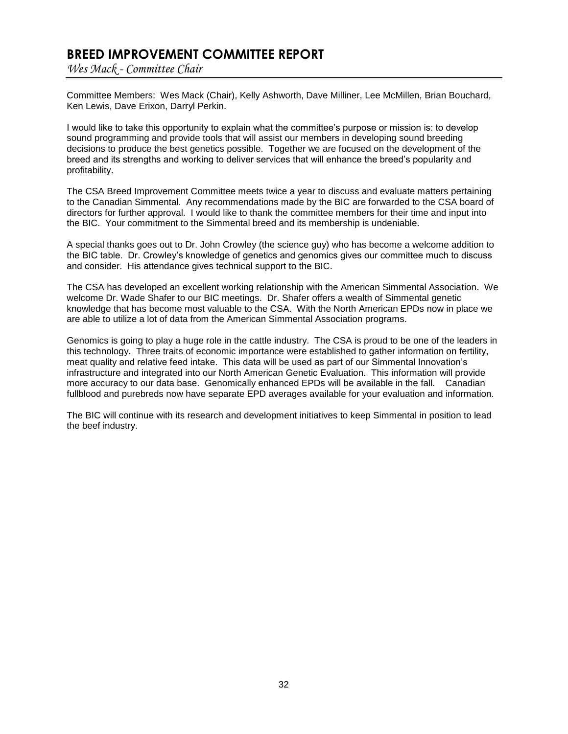## **BREED IMPROVEMENT COMMITTEE REPORT**

*Wes Mack - Committee Chair*

Committee Members: Wes Mack (Chair), Kelly Ashworth, Dave Milliner, Lee McMillen, Brian Bouchard, Ken Lewis, Dave Erixon, Darryl Perkin.

I would like to take this opportunity to explain what the committee's purpose or mission is: to develop sound programming and provide tools that will assist our members in developing sound breeding decisions to produce the best genetics possible. Together we are focused on the development of the breed and its strengths and working to deliver services that will enhance the breed's popularity and profitability.

The CSA Breed Improvement Committee meets twice a year to discuss and evaluate matters pertaining to the Canadian Simmental. Any recommendations made by the BIC are forwarded to the CSA board of directors for further approval. I would like to thank the committee members for their time and input into the BIC. Your commitment to the Simmental breed and its membership is undeniable.

A special thanks goes out to Dr. John Crowley (the science guy) who has become a welcome addition to the BIC table. Dr. Crowley's knowledge of genetics and genomics gives our committee much to discuss and consider. His attendance gives technical support to the BIC.

The CSA has developed an excellent working relationship with the American Simmental Association. We welcome Dr. Wade Shafer to our BIC meetings. Dr. Shafer offers a wealth of Simmental genetic knowledge that has become most valuable to the CSA. With the North American EPDs now in place we are able to utilize a lot of data from the American Simmental Association programs.

Genomics is going to play a huge role in the cattle industry. The CSA is proud to be one of the leaders in this technology. Three traits of economic importance were established to gather information on fertility, meat quality and relative feed intake. This data will be used as part of our Simmental Innovation's infrastructure and integrated into our North American Genetic Evaluation. This information will provide more accuracy to our data base. Genomically enhanced EPDs will be available in the fall. Canadian fullblood and purebreds now have separate EPD averages available for your evaluation and information.

The BIC will continue with its research and development initiatives to keep Simmental in position to lead the beef industry.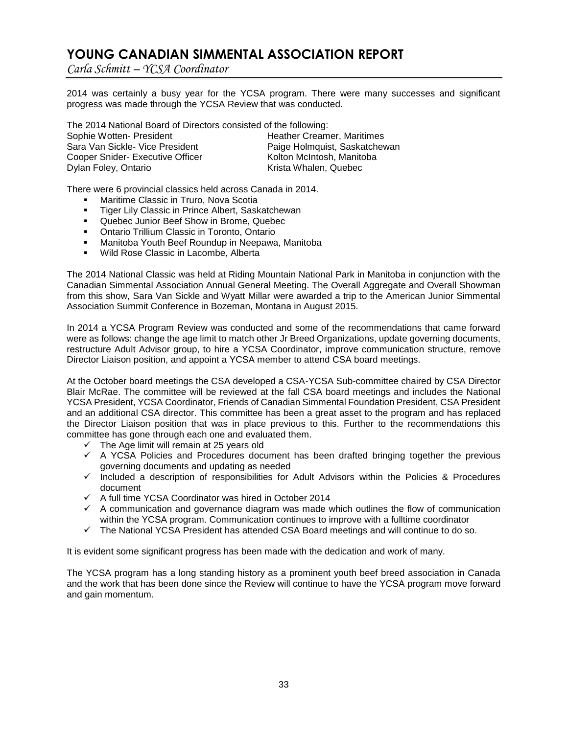## **YOUNG CANADIAN SIMMENTAL ASSOCIATION REPORT**

*Carla Schmitt – YCSA Coordinator*

2014 was certainly a busy year for the YCSA program. There were many successes and significant progress was made through the YCSA Review that was conducted.

The 2014 National Board of Directors consisted of the following:

Sophie Wotten- President **Heather Creamer**, Maritimes Sara Van Sickle- Vice President Paige Holmquist, Saskatchewan Cooper Snider- Executive Officer **Kolton McIntosh, Manitoba**<br>
Cylan Foley, Ontario **Christer Container Container Music Container** Krista Whalen, Quebec

Krista Whalen, Quebec

There were 6 provincial classics held across Canada in 2014.

- Maritime Classic in Truro, Nova Scotia
- Tiger Lily Classic in Prince Albert, Saskatchewan
- Quebec Junior Beef Show in Brome, Quebec
- Ontario Trillium Classic in Toronto, Ontario
- **Manitoba Youth Beef Roundup in Neepawa, Manitoba**
- **Wild Rose Classic in Lacombe, Alberta**

The 2014 National Classic was held at Riding Mountain National Park in Manitoba in conjunction with the Canadian Simmental Association Annual General Meeting. The Overall Aggregate and Overall Showman from this show, Sara Van Sickle and Wyatt Millar were awarded a trip to the American Junior Simmental Association Summit Conference in Bozeman, Montana in August 2015.

In 2014 a YCSA Program Review was conducted and some of the recommendations that came forward were as follows: change the age limit to match other Jr Breed Organizations, update governing documents, restructure Adult Advisor group, to hire a YCSA Coordinator, improve communication structure, remove Director Liaison position, and appoint a YCSA member to attend CSA board meetings.

At the October board meetings the CSA developed a CSA-YCSA Sub-committee chaired by CSA Director Blair McRae. The committee will be reviewed at the fall CSA board meetings and includes the National YCSA President, YCSA Coordinator, Friends of Canadian Simmental Foundation President, CSA President and an additional CSA director. This committee has been a great asset to the program and has replaced the Director Liaison position that was in place previous to this. Further to the recommendations this committee has gone through each one and evaluated them.

- $\checkmark$  The Age limit will remain at 25 years old
- $\checkmark$  A YCSA Policies and Procedures document has been drafted bringing together the previous governing documents and updating as needed
- $\checkmark$  Included a description of responsibilities for Adult Advisors within the Policies & Procedures document
- $\checkmark$  A full time YCSA Coordinator was hired in October 2014
- $\checkmark$  A communication and governance diagram was made which outlines the flow of communication within the YCSA program. Communication continues to improve with a fulltime coordinator
- $\checkmark$  The National YCSA President has attended CSA Board meetings and will continue to do so.

It is evident some significant progress has been made with the dedication and work of many.

The YCSA program has a long standing history as a prominent youth beef breed association in Canada and the work that has been done since the Review will continue to have the YCSA program move forward and gain momentum.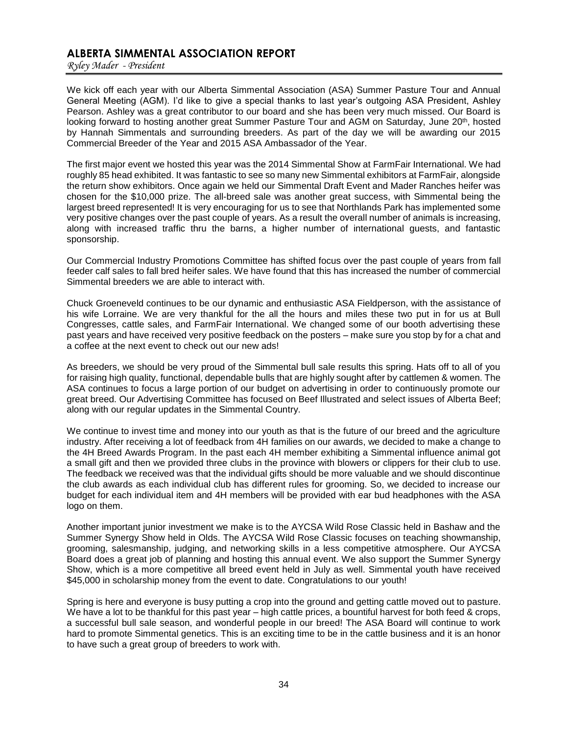## **ALBERTA SIMMENTAL ASSOCIATION REPORT**

*Ryley Mader - President*

We kick off each year with our Alberta Simmental Association (ASA) Summer Pasture Tour and Annual General Meeting (AGM). I'd like to give a special thanks to last year's outgoing ASA President, Ashley Pearson. Ashley was a great contributor to our board and she has been very much missed. Our Board is looking forward to hosting another great Summer Pasture Tour and AGM on Saturday, June 20<sup>th</sup>, hosted by Hannah Simmentals and surrounding breeders. As part of the day we will be awarding our 2015 Commercial Breeder of the Year and 2015 ASA Ambassador of the Year.

The first major event we hosted this year was the 2014 Simmental Show at FarmFair International. We had roughly 85 head exhibited. It was fantastic to see so many new Simmental exhibitors at FarmFair, alongside the return show exhibitors. Once again we held our Simmental Draft Event and Mader Ranches heifer was chosen for the \$10,000 prize. The all-breed sale was another great success, with Simmental being the largest breed represented! It is very encouraging for us to see that Northlands Park has implemented some very positive changes over the past couple of years. As a result the overall number of animals is increasing, along with increased traffic thru the barns, a higher number of international guests, and fantastic sponsorship.

Our Commercial Industry Promotions Committee has shifted focus over the past couple of years from fall feeder calf sales to fall bred heifer sales. We have found that this has increased the number of commercial Simmental breeders we are able to interact with.

Chuck Groeneveld continues to be our dynamic and enthusiastic ASA Fieldperson, with the assistance of his wife Lorraine. We are very thankful for the all the hours and miles these two put in for us at Bull Congresses, cattle sales, and FarmFair International. We changed some of our booth advertising these past years and have received very positive feedback on the posters – make sure you stop by for a chat and a coffee at the next event to check out our new ads!

As breeders, we should be very proud of the Simmental bull sale results this spring. Hats off to all of you for raising high quality, functional, dependable bulls that are highly sought after by cattlemen & women. The ASA continues to focus a large portion of our budget on advertising in order to continuously promote our great breed. Our Advertising Committee has focused on Beef Illustrated and select issues of Alberta Beef; along with our regular updates in the Simmental Country.

We continue to invest time and money into our youth as that is the future of our breed and the agriculture industry. After receiving a lot of feedback from 4H families on our awards, we decided to make a change to the 4H Breed Awards Program. In the past each 4H member exhibiting a Simmental influence animal got a small gift and then we provided three clubs in the province with blowers or clippers for their club to use. The feedback we received was that the individual gifts should be more valuable and we should discontinue the club awards as each individual club has different rules for grooming. So, we decided to increase our budget for each individual item and 4H members will be provided with ear bud headphones with the ASA logo on them.

Another important junior investment we make is to the AYCSA Wild Rose Classic held in Bashaw and the Summer Synergy Show held in Olds. The AYCSA Wild Rose Classic focuses on teaching showmanship, grooming, salesmanship, judging, and networking skills in a less competitive atmosphere. Our AYCSA Board does a great job of planning and hosting this annual event. We also support the Summer Synergy Show, which is a more competitive all breed event held in July as well. Simmental youth have received \$45,000 in scholarship money from the event to date. Congratulations to our youth!

Spring is here and everyone is busy putting a crop into the ground and getting cattle moved out to pasture. We have a lot to be thankful for this past year – high cattle prices, a bountiful harvest for both feed & crops, a successful bull sale season, and wonderful people in our breed! The ASA Board will continue to work hard to promote Simmental genetics. This is an exciting time to be in the cattle business and it is an honor to have such a great group of breeders to work with.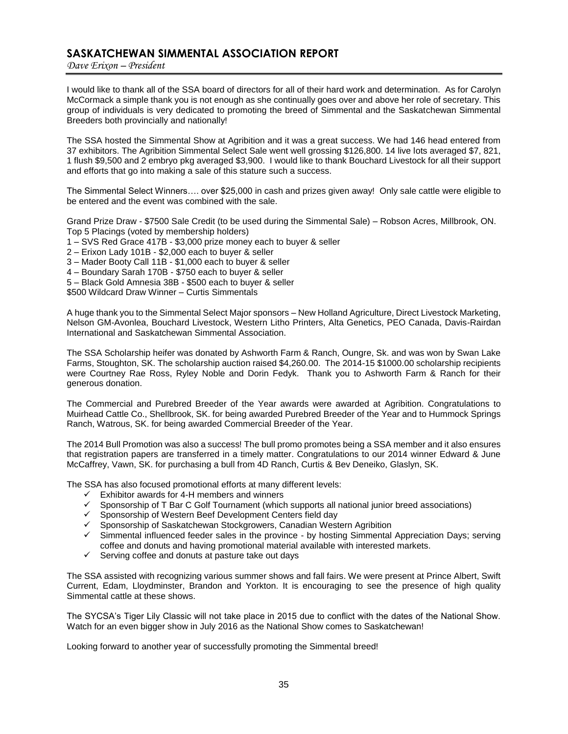## **SASKATCHEWAN SIMMENTAL ASSOCIATION REPORT**

*Dave Erixon – President*

I would like to thank all of the SSA board of directors for all of their hard work and determination. As for Carolyn McCormack a simple thank you is not enough as she continually goes over and above her role of secretary. This group of individuals is very dedicated to promoting the breed of Simmental and the Saskatchewan Simmental Breeders both provincially and nationally!

The SSA hosted the Simmental Show at Agribition and it was a great success. We had 146 head entered from 37 exhibitors. The Agribition Simmental Select Sale went well grossing \$126,800. 14 live lots averaged \$7, 821, 1 flush \$9,500 and 2 embryo pkg averaged \$3,900. I would like to thank Bouchard Livestock for all their support and efforts that go into making a sale of this stature such a success.

The Simmental Select Winners…. over \$25,000 in cash and prizes given away! Only sale cattle were eligible to be entered and the event was combined with the sale.

Grand Prize Draw - \$7500 Sale Credit (to be used during the Simmental Sale) – Robson Acres, Millbrook, ON. Top 5 Placings (voted by membership holders)

- 1 SVS Red Grace 417B \$3,000 prize money each to buyer & seller
- 2 Erixon Lady 101B \$2,000 each to buyer & seller
- 3 Mader Booty Call 11B \$1,000 each to buyer & seller
- 4 Boundary Sarah 170B \$750 each to buyer & seller
- 5 Black Gold Amnesia 38B \$500 each to buyer & seller
- \$500 Wildcard Draw Winner Curtis Simmentals

A huge thank you to the Simmental Select Major sponsors – New Holland Agriculture, Direct Livestock Marketing, Nelson GM-Avonlea, Bouchard Livestock, Western Litho Printers, Alta Genetics, PEO Canada, Davis-Rairdan International and Saskatchewan Simmental Association.

The SSA Scholarship heifer was donated by Ashworth Farm & Ranch, Oungre, Sk. and was won by Swan Lake Farms, Stoughton, SK. The scholarship auction raised \$4,260.00. The 2014-15 \$1000.00 scholarship recipients were Courtney Rae Ross, Ryley Noble and Dorin Fedyk. Thank you to Ashworth Farm & Ranch for their generous donation.

The Commercial and Purebred Breeder of the Year awards were awarded at Agribition. Congratulations to Muirhead Cattle Co., Shellbrook, SK. for being awarded Purebred Breeder of the Year and to Hummock Springs Ranch, Watrous, SK. for being awarded Commercial Breeder of the Year.

The 2014 Bull Promotion was also a success! The bull promo promotes being a SSA member and it also ensures that registration papers are transferred in a timely matter. Congratulations to our 2014 winner Edward & June McCaffrey, Vawn, SK. for purchasing a bull from 4D Ranch, Curtis & Bev Deneiko, Glaslyn, SK.

The SSA has also focused promotional efforts at many different levels:

- $\checkmark$  Exhibitor awards for 4-H members and winners
- $\checkmark$  Sponsorship of T Bar C Golf Tournament (which supports all national junior breed associations)
- $\checkmark$  Sponsorship of Western Beef Development Centers field day
- $\checkmark$  Sponsorship of Saskatchewan Stockgrowers, Canadian Western Agribition
- $\checkmark$  Simmental influenced feeder sales in the province by hosting Simmental Appreciation Days; serving coffee and donuts and having promotional material available with interested markets.
- $\checkmark$  Serving coffee and donuts at pasture take out days

The SSA assisted with recognizing various summer shows and fall fairs. We were present at Prince Albert, Swift Current, Edam, Lloydminster, Brandon and Yorkton. It is encouraging to see the presence of high quality Simmental cattle at these shows.

The SYCSA's Tiger Lily Classic will not take place in 2015 due to conflict with the dates of the National Show. Watch for an even bigger show in July 2016 as the National Show comes to Saskatchewan!

Looking forward to another year of successfully promoting the Simmental breed!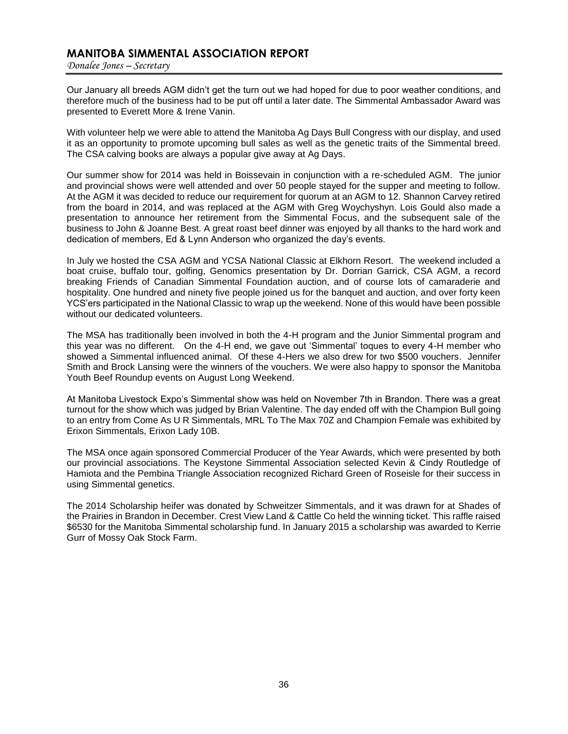## **MANITOBA SIMMENTAL ASSOCIATION REPORT**

*Donalee Jones – Secretary*

Our January all breeds AGM didn't get the turn out we had hoped for due to poor weather conditions, and therefore much of the business had to be put off until a later date. The Simmental Ambassador Award was presented to Everett More & Irene Vanin.

With volunteer help we were able to attend the Manitoba Ag Days Bull Congress with our display, and used it as an opportunity to promote upcoming bull sales as well as the genetic traits of the Simmental breed. The CSA calving books are always a popular give away at Ag Days.

Our summer show for 2014 was held in Boissevain in conjunction with a re-scheduled AGM. The junior and provincial shows were well attended and over 50 people stayed for the supper and meeting to follow. At the AGM it was decided to reduce our requirement for quorum at an AGM to 12. Shannon Carvey retired from the board in 2014, and was replaced at the AGM with Greg Woychyshyn. Lois Gould also made a presentation to announce her retirement from the Simmental Focus, and the subsequent sale of the business to John & Joanne Best. A great roast beef dinner was enjoyed by all thanks to the hard work and dedication of members, Ed & Lynn Anderson who organized the day's events.

In July we hosted the CSA AGM and YCSA National Classic at Elkhorn Resort. The weekend included a boat cruise, buffalo tour, golfing, Genomics presentation by Dr. Dorrian Garrick, CSA AGM, a record breaking Friends of Canadian Simmental Foundation auction, and of course lots of camaraderie and hospitality. One hundred and ninety five people joined us for the banquet and auction, and over forty keen YCS'ers participated in the National Classic to wrap up the weekend. None of this would have been possible without our dedicated volunteers.

The MSA has traditionally been involved in both the 4-H program and the Junior Simmental program and this year was no different. On the 4-H end, we gave out 'Simmental' toques to every 4-H member who showed a Simmental influenced animal. Of these 4-Hers we also drew for two \$500 vouchers. Jennifer Smith and Brock Lansing were the winners of the vouchers. We were also happy to sponsor the Manitoba Youth Beef Roundup events on August Long Weekend.

At Manitoba Livestock Expo's Simmental show was held on November 7th in Brandon. There was a great turnout for the show which was judged by Brian Valentine. The day ended off with the Champion Bull going to an entry from Come As U R Simmentals, MRL To The Max 70Z and Champion Female was exhibited by Erixon Simmentals, Erixon Lady 10B.

The MSA once again sponsored Commercial Producer of the Year Awards, which were presented by both our provincial associations. The Keystone Simmental Association selected Kevin & Cindy Routledge of Hamiota and the Pembina Triangle Association recognized Richard Green of Roseisle for their success in using Simmental genetics.

The 2014 Scholarship heifer was donated by Schweitzer Simmentals, and it was drawn for at Shades of the Prairies in Brandon in December. Crest View Land & Cattle Co held the winning ticket. This raffle raised \$6530 for the Manitoba Simmental scholarship fund. In January 2015 a scholarship was awarded to Kerrie Gurr of Mossy Oak Stock Farm.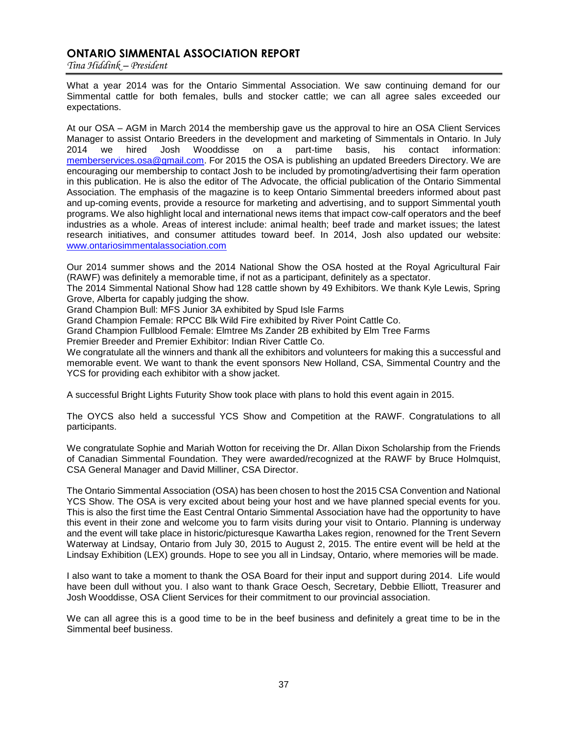## **ONTARIO SIMMENTAL ASSOCIATION REPORT**

*Tina Hiddink – President*

What a year 2014 was for the Ontario Simmental Association. We saw continuing demand for our Simmental cattle for both females, bulls and stocker cattle; we can all agree sales exceeded our expectations.

At our OSA – AGM in March 2014 the membership gave us the approval to hire an OSA Client Services Manager to assist Ontario Breeders in the development and marketing of Simmentals in Ontario. In July 2014 we hired Josh Wooddisse on a part-time basis, his contact information: [memberservices.osa@gmail.com.](mailto:memberservices.osa@gmail.com) For 2015 the OSA is publishing an updated Breeders Directory. We are encouraging our membership to contact Josh to be included by promoting/advertising their farm operation in this publication. He is also the editor of The Advocate, the official publication of the Ontario Simmental Association. The emphasis of the magazine is to keep Ontario Simmental breeders informed about past and up-coming events, provide a resource for marketing and advertising, and to support Simmental youth programs. We also highlight local and international news items that impact cow-calf operators and the beef industries as a whole. Areas of interest include: animal health; beef trade and market issues; the latest research initiatives, and consumer attitudes toward beef. In 2014, Josh also updated our website: [www.ontariosimmentalassociation.com](http://www.ontariosimmentalassociation.com/)

Our 2014 summer shows and the 2014 National Show the OSA hosted at the Royal Agricultural Fair (RAWF) was definitely a memorable time, if not as a participant, definitely as a spectator.

The 2014 Simmental National Show had 128 cattle shown by 49 Exhibitors. We thank Kyle Lewis, Spring Grove, Alberta for capably judging the show.

Grand Champion Bull: MFS Junior 3A exhibited by Spud Isle Farms

Grand Champion Female: RPCC Blk Wild Fire exhibited by River Point Cattle Co.

Grand Champion Fullblood Female: Elmtree Ms Zander 2B exhibited by Elm Tree Farms

Premier Breeder and Premier Exhibitor: Indian River Cattle Co.

We congratulate all the winners and thank all the exhibitors and volunteers for making this a successful and memorable event. We want to thank the event sponsors New Holland, CSA, Simmental Country and the YCS for providing each exhibitor with a show jacket.

A successful Bright Lights Futurity Show took place with plans to hold this event again in 2015.

The OYCS also held a successful YCS Show and Competition at the RAWF. Congratulations to all participants.

We congratulate Sophie and Mariah Wotton for receiving the Dr. Allan Dixon Scholarship from the Friends of Canadian Simmental Foundation. They were awarded/recognized at the RAWF by Bruce Holmquist, CSA General Manager and David Milliner, CSA Director.

The Ontario Simmental Association (OSA) has been chosen to host the 2015 CSA Convention and National YCS Show. The OSA is very excited about being your host and we have planned special events for you. This is also the first time the East Central Ontario Simmental Association have had the opportunity to have this event in their zone and welcome you to farm visits during your visit to Ontario. Planning is underway and the event will take place in historic/picturesque Kawartha Lakes region, renowned for the Trent Severn Waterway at Lindsay, Ontario from July 30, 2015 to August 2, 2015. The entire event will be held at the Lindsay Exhibition (LEX) grounds. Hope to see you all in Lindsay, Ontario, where memories will be made.

I also want to take a moment to thank the OSA Board for their input and support during 2014. Life would have been dull without you. I also want to thank Grace Oesch, Secretary, Debbie Elliott, Treasurer and Josh Wooddisse, OSA Client Services for their commitment to our provincial association.

We can all agree this is a good time to be in the beef business and definitely a great time to be in the Simmental beef business.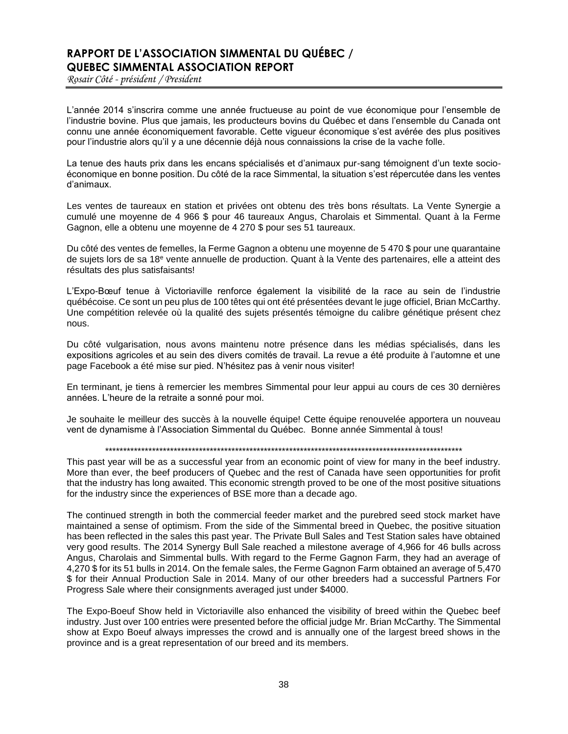## **RAPPORT DE L'ASSOCIATION SIMMENTAL DU QUÉBEC / QUEBEC SIMMENTAL ASSOCIATION REPORT**

*Rosair Côté - président / President*

L'année 2014 s'inscrira comme une année fructueuse au point de vue économique pour l'ensemble de l'industrie bovine. Plus que jamais, les producteurs bovins du Québec et dans l'ensemble du Canada ont connu une année économiquement favorable. Cette vigueur économique s'est avérée des plus positives pour l'industrie alors qu'il y a une décennie déjà nous connaissions la crise de la vache folle.

La tenue des hauts prix dans les encans spécialisés et d'animaux pur-sang témoignent d'un texte socioéconomique en bonne position. Du côté de la race Simmental, la situation s'est répercutée dans les ventes d'animaux.

Les ventes de taureaux en station et privées ont obtenu des très bons résultats. La Vente Synergie a cumulé une moyenne de 4 966 \$ pour 46 taureaux Angus, Charolais et Simmental. Quant à la Ferme Gagnon, elle a obtenu une moyenne de 4 270 \$ pour ses 51 taureaux.

Du côté des ventes de femelles, la Ferme Gagnon a obtenu une moyenne de 5 470 \$ pour une quarantaine de sujets lors de sa 18<sup>e</sup> vente annuelle de production. Quant à la Vente des partenaires, elle a atteint des résultats des plus satisfaisants!

L'Expo-Bœuf tenue à Victoriaville renforce également la visibilité de la race au sein de l'industrie québécoise. Ce sont un peu plus de 100 têtes qui ont été présentées devant le juge officiel, Brian McCarthy. Une compétition relevée où la qualité des sujets présentés témoigne du calibre génétique présent chez nous.

Du côté vulgarisation, nous avons maintenu notre présence dans les médias spécialisés, dans les expositions agricoles et au sein des divers comités de travail. La revue a été produite à l'automne et une page Facebook a été mise sur pied. N'hésitez pas à venir nous visiter!

En terminant, je tiens à remercier les membres Simmental pour leur appui au cours de ces 30 dernières années. L'heure de la retraite a sonné pour moi.

Je souhaite le meilleur des succès à la nouvelle équipe! Cette équipe renouvelée apportera un nouveau vent de dynamisme à l'Association Simmental du Québec. Bonne année Simmental à tous!

\*\*\*\*\*\*\*\*\*\*\*\*\*\*\*\*\*\*\*\*\*\*\*\*\*\*\*\*\*\*\*\*\*\*\*\*\*\*\*\*\*\*\*\*\*\*\*\*\*\*\*\*\*\*\*\*\*\*\*\*\*\*\*\*\*\*\*\*\*\*\*\*\*\*\*\*\*\*\*\*\*\*\*\*\*\*\*\*\*\*\*\*\*\*\*\*\*\*\*

This past year will be as a successful year from an economic point of view for many in the beef industry. More than ever, the beef producers of Quebec and the rest of Canada have seen opportunities for profit that the industry has long awaited. This economic strength proved to be one of the most positive situations for the industry since the experiences of BSE more than a decade ago.

The continued strength in both the commercial feeder market and the purebred seed stock market have maintained a sense of optimism. From the side of the Simmental breed in Quebec, the positive situation has been reflected in the sales this past year. The Private Bull Sales and Test Station sales have obtained very good results. The 2014 Synergy Bull Sale reached a milestone average of 4,966 for 46 bulls across Angus, Charolais and Simmental bulls. With regard to the Ferme Gagnon Farm, they had an average of 4,270 \$ for its 51 bulls in 2014. On the female sales, the Ferme Gagnon Farm obtained an average of 5,470 \$ for their Annual Production Sale in 2014. Many of our other breeders had a successful Partners For Progress Sale where their consignments averaged just under \$4000.

The Expo-Boeuf Show held in Victoriaville also enhanced the visibility of breed within the Quebec beef industry. Just over 100 entries were presented before the official judge Mr. Brian McCarthy. The Simmental show at Expo Boeuf always impresses the crowd and is annually one of the largest breed shows in the province and is a great representation of our breed and its members.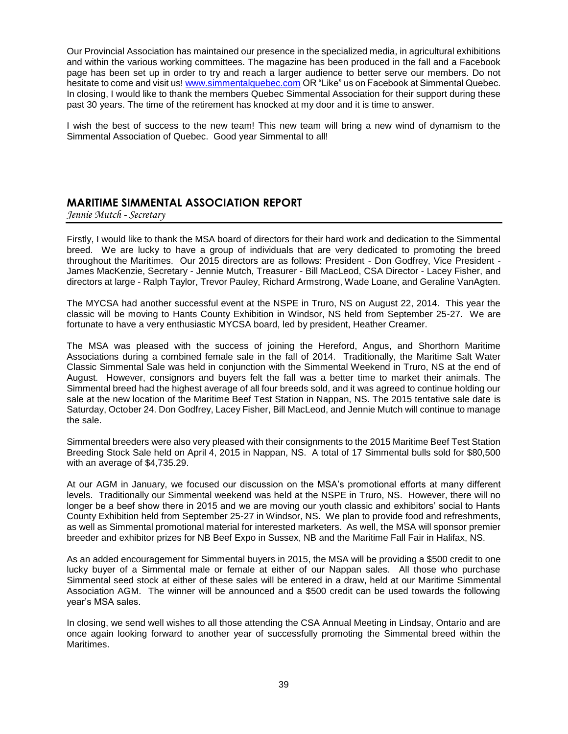Our Provincial Association has maintained our presence in the specialized media, in agricultural exhibitions and within the various working committees. The magazine has been produced in the fall and a Facebook page has been set up in order to try and reach a larger audience to better serve our members. Do not hesitate to come and visit us[! www.simmentalquebec.com](http://www.simmentalquebec.com/) OR "Like" us on Facebook at Simmental Quebec. In closing, I would like to thank the members Quebec Simmental Association for their support during these past 30 years. The time of the retirement has knocked at my door and it is time to answer.

I wish the best of success to the new team! This new team will bring a new wind of dynamism to the Simmental Association of Quebec. Good year Simmental to all!

## **MARITIME SIMMENTAL ASSOCIATION REPORT**

*Jennie Mutch - Secretary*

Firstly, I would like to thank the MSA board of directors for their hard work and dedication to the Simmental breed. We are lucky to have a group of individuals that are very dedicated to promoting the breed throughout the Maritimes. Our 2015 directors are as follows: President - Don Godfrey, Vice President - James MacKenzie, Secretary - Jennie Mutch, Treasurer - Bill MacLeod, CSA Director - Lacey Fisher, and directors at large - Ralph Taylor, Trevor Pauley, Richard Armstrong, Wade Loane, and Geraline VanAgten.

The MYCSA had another successful event at the NSPE in Truro, NS on August 22, 2014. This year the classic will be moving to Hants County Exhibition in Windsor, NS held from September 25-27. We are fortunate to have a very enthusiastic MYCSA board, led by president, Heather Creamer.

The MSA was pleased with the success of joining the Hereford, Angus, and Shorthorn Maritime Associations during a combined female sale in the fall of 2014. Traditionally, the Maritime Salt Water Classic Simmental Sale was held in conjunction with the Simmental Weekend in Truro, NS at the end of August. However, consignors and buyers felt the fall was a better time to market their animals. The Simmental breed had the highest average of all four breeds sold, and it was agreed to continue holding our sale at the new location of the Maritime Beef Test Station in Nappan, NS. The 2015 tentative sale date is Saturday, October 24. Don Godfrey, Lacey Fisher, Bill MacLeod, and Jennie Mutch will continue to manage the sale.

Simmental breeders were also very pleased with their consignments to the 2015 Maritime Beef Test Station Breeding Stock Sale held on April 4, 2015 in Nappan, NS. A total of 17 Simmental bulls sold for \$80,500 with an average of \$4,735.29.

At our AGM in January, we focused our discussion on the MSA's promotional efforts at many different levels. Traditionally our Simmental weekend was held at the NSPE in Truro, NS. However, there will no longer be a beef show there in 2015 and we are moving our youth classic and exhibitors' social to Hants County Exhibition held from September 25-27 in Windsor, NS. We plan to provide food and refreshments, as well as Simmental promotional material for interested marketers. As well, the MSA will sponsor premier breeder and exhibitor prizes for NB Beef Expo in Sussex, NB and the Maritime Fall Fair in Halifax, NS.

As an added encouragement for Simmental buyers in 2015, the MSA will be providing a \$500 credit to one lucky buyer of a Simmental male or female at either of our Nappan sales. All those who purchase Simmental seed stock at either of these sales will be entered in a draw, held at our Maritime Simmental Association AGM. The winner will be announced and a \$500 credit can be used towards the following year's MSA sales.

In closing, we send well wishes to all those attending the CSA Annual Meeting in Lindsay, Ontario and are once again looking forward to another year of successfully promoting the Simmental breed within the Maritimes.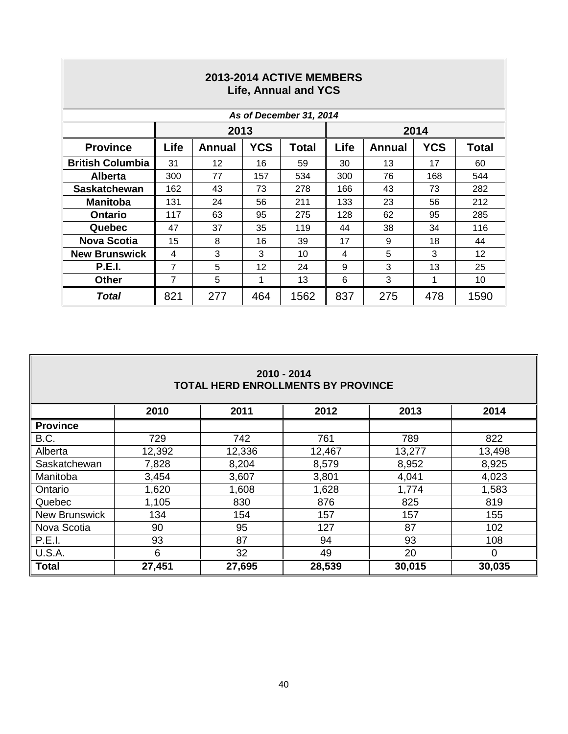| 2013-2014 ACTIVE MEMBERS<br><b>Life, Annual and YCS</b> |                                                     |        |            |                         |      |        |            |              |
|---------------------------------------------------------|-----------------------------------------------------|--------|------------|-------------------------|------|--------|------------|--------------|
|                                                         |                                                     |        |            | As of December 31, 2014 |      |        |            |              |
|                                                         |                                                     | 2013   |            |                         |      |        | 2014       |              |
| <b>Province</b>                                         | Life                                                | Annual | <b>YCS</b> | Total                   | Life | Annual | <b>YCS</b> | <b>Total</b> |
| <b>British Columbia</b>                                 | 31                                                  | 12     | 16         | 59                      | 30   | 13     | 17         | 60           |
| <b>Alberta</b>                                          | 300                                                 | 77     | 157        | 534                     | 300  | 76     | 168        | 544          |
| <b>Saskatchewan</b>                                     | 162                                                 | 43     | 73         | 278                     | 166  | 43     | 73         | 282          |
| <b>Manitoba</b>                                         | 131                                                 | 24     | 56         | 211                     | 133  | 23     | 56         | 212          |
| <b>Ontario</b>                                          | 117                                                 | 63     | 95         | 275                     | 128  | 62     | 95         | 285          |
| Quebec                                                  | 47                                                  | 37     | 35         | 119                     | 44   | 38     | 34         | 116          |
| <b>Nova Scotia</b>                                      | 15                                                  | 8      | 16         | 39                      | 17   | 9      | 18         | 44           |
| <b>New Brunswick</b>                                    | 4                                                   | 3      | 3          | 10                      | 4    | 5      | 3          | 12           |
| <b>P.E.I.</b>                                           | 7                                                   | 5      | 12         | 24                      | 9    | 3      | 13         | 25           |
| <b>Other</b>                                            | $\overline{7}$<br>5<br>3<br>6<br>13<br>10<br>1<br>1 |        |            |                         |      |        |            |              |
| <b>Total</b>                                            | 821                                                 | 277    | 464        | 1562                    | 837  | 275    | 478        | 1590         |

 $\overline{\Gamma}$ 

| 2010 - 2014<br><b>TOTAL HERD ENROLLMENTS BY PROVINCE</b> |        |        |        |        |             |  |
|----------------------------------------------------------|--------|--------|--------|--------|-------------|--|
|                                                          | 2010   | 2011   | 2012   | 2013   | 2014        |  |
| <b>Province</b>                                          |        |        |        |        |             |  |
| B.C.                                                     | 729    | 742    | 761    | 789    | 822         |  |
| Alberta                                                  | 12,392 | 12,336 | 12,467 | 13,277 | 13,498      |  |
| Saskatchewan                                             | 7,828  | 8,204  | 8,579  | 8,952  | 8,925       |  |
| Manitoba                                                 | 3,454  | 3,607  | 3,801  | 4,041  | 4,023       |  |
| Ontario                                                  | 1,620  | 1,608  | 1,628  | 1,774  | 1,583       |  |
| Quebec                                                   | 1,105  | 830    | 876    | 825    | 819         |  |
| <b>New Brunswick</b>                                     | 134    | 154    | 157    | 157    | 155         |  |
| Nova Scotia                                              | 90     | 95     | 127    | 87     | 102         |  |
| P.E.I.                                                   | 93     | 87     | 94     | 93     | 108         |  |
| U.S.A.                                                   | 6      | 32     | 49     | 20     | $\mathbf 0$ |  |
| <b>Total</b>                                             | 27,451 | 27,695 | 28,539 | 30,015 | 30,035      |  |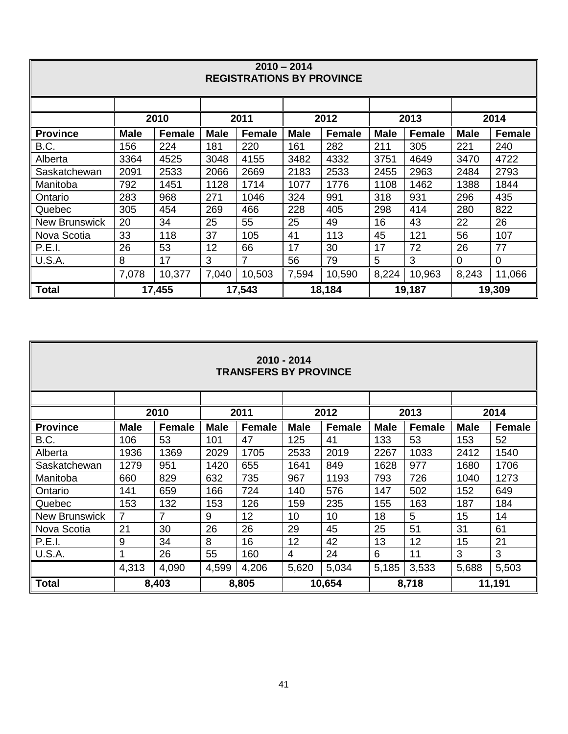| $2010 - 2014$<br><b>REGISTRATIONS BY PROVINCE</b> |             |               |             |        |             |               |             |        |             |               |
|---------------------------------------------------|-------------|---------------|-------------|--------|-------------|---------------|-------------|--------|-------------|---------------|
|                                                   |             |               |             |        |             |               |             |        |             |               |
|                                                   |             | 2010          |             | 2011   |             | 2012          |             | 2013   |             | 2014          |
| <b>Province</b>                                   | <b>Male</b> | <b>Female</b> | <b>Male</b> | Female | <b>Male</b> | <b>Female</b> | <b>Male</b> | Female | <b>Male</b> | <b>Female</b> |
| B.C.                                              | 156         | 224           | 181         | 220    | 161         | 282           | 211         | 305    | 221         | 240           |
| Alberta                                           | 3364        | 4525          | 3048        | 4155   | 3482        | 4332          | 3751        | 4649   | 3470        | 4722          |
| Saskatchewan                                      | 2091        | 2533          | 2066        | 2669   | 2183        | 2533          | 2455        | 2963   | 2484        | 2793          |
| Manitoba                                          | 792         | 1451          | 1128        | 1714   | 1077        | 1776          | 1108        | 1462   | 1388        | 1844          |
| Ontario                                           | 283         | 968           | 271         | 1046   | 324         | 991           | 318         | 931    | 296         | 435           |
| Quebec                                            | 305         | 454           | 269         | 466    | 228         | 405           | 298         | 414    | 280         | 822           |
| <b>New Brunswick</b>                              | 20          | 34            | 25          | 55     | 25          | 49            | 16          | 43     | 22          | 26            |
| Nova Scotia                                       | 33          | 118           | 37          | 105    | 41          | 113           | 45          | 121    | 56          | 107           |
| P.E.I.                                            | 26          | 53            | 12          | 66     | 17          | 30            | 17          | 72     | 26          | 77            |
| <b>U.S.A.</b>                                     | 8           | 17            | 3           | 7      | 56          | 79            | 5           | 3      | 0           | $\mathbf 0$   |
|                                                   | 7,078       | 10,377        | 7,040       | 10,503 | 7,594       | 10,590        | 8,224       | 10,963 | 8,243       | 11,066        |
| <b>Total</b>                                      |             | 17,455        |             | 17,543 |             | 18,184        |             | 19,187 |             | 19,309        |

|                      | 2010 - 2014<br><b>TRANSFERS BY PROVINCE</b> |               |             |               |                |               |             |               |             |               |
|----------------------|---------------------------------------------|---------------|-------------|---------------|----------------|---------------|-------------|---------------|-------------|---------------|
|                      |                                             |               |             |               |                |               |             |               |             |               |
|                      |                                             | 2010          |             | 2011          |                | 2012          |             | 2013          |             | 2014          |
| <b>Province</b>      | <b>Male</b>                                 | <b>Female</b> | <b>Male</b> | <b>Female</b> | <b>Male</b>    | <b>Female</b> | <b>Male</b> | <b>Female</b> | <b>Male</b> | <b>Female</b> |
| B.C.                 | 106                                         | 53            | 101         | 47            | 125            | 41            | 133         | 53            | 153         | 52            |
| Alberta              | 1936                                        | 1369          | 2029        | 1705          | 2533           | 2019          | 2267        | 1033          | 2412        | 1540          |
| Saskatchewan         | 1279                                        | 951           | 1420        | 655           | 1641           | 849           | 1628        | 977           | 1680        | 1706          |
| Manitoba             | 660                                         | 829           | 632         | 735           | 967            | 1193          | 793         | 726           | 1040        | 1273          |
| Ontario              | 141                                         | 659           | 166         | 724           | 140            | 576           | 147         | 502           | 152         | 649           |
| Quebec               | 153                                         | 132           | 153         | 126           | 159            | 235           | 155         | 163           | 187         | 184           |
| <b>New Brunswick</b> | $\overline{7}$                              | 7             | 9           | 12            | 10             | 10            | 18          | 5             | 15          | 14            |
| Nova Scotia          | 21                                          | 30            | 26          | 26            | 29             | 45            | 25          | 51            | 31          | 61            |
| P.E.I.               | 9                                           | 34            | 8           | 16            | 12             | 42            | 13          | 12            | 15          | 21            |
| U.S.A.               | 4                                           | 26            | 55          | 160           | $\overline{4}$ | 24            | 6           | 11            | 3           | 3             |
|                      | 4,313                                       | 4,090         | 4,599       | 4,206         | 5,620          | 5,034         | 5,185       | 3,533         | 5,688       | 5,503         |
| <b>Total</b>         |                                             | 8,403         |             | 8,805         |                | 10,654        |             | 8,718         |             | 11,191        |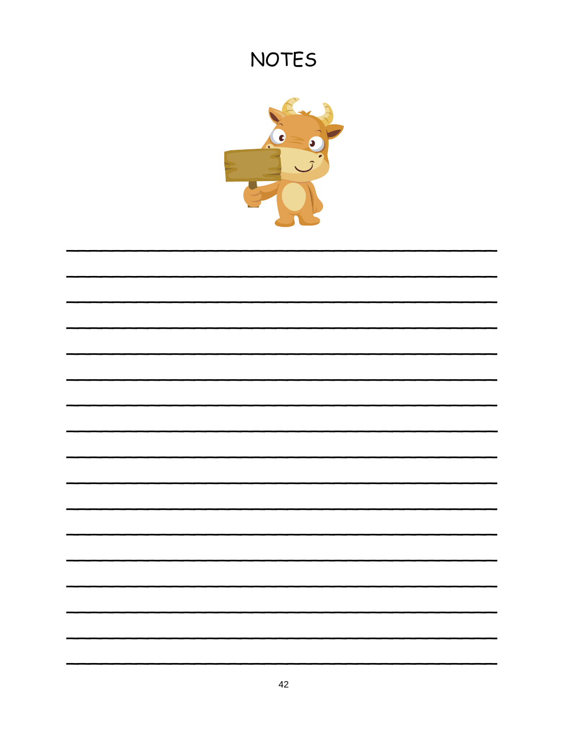# NOTES



| ______<br>$\overline{\phantom{0}}$<br>$\overline{\phantom{a}}$ |  |  |  |
|----------------------------------------------------------------|--|--|--|
|                                                                |  |  |  |
|                                                                |  |  |  |
|                                                                |  |  |  |
|                                                                |  |  |  |
|                                                                |  |  |  |
|                                                                |  |  |  |
|                                                                |  |  |  |
|                                                                |  |  |  |
|                                                                |  |  |  |
|                                                                |  |  |  |
|                                                                |  |  |  |
|                                                                |  |  |  |
|                                                                |  |  |  |
|                                                                |  |  |  |
|                                                                |  |  |  |